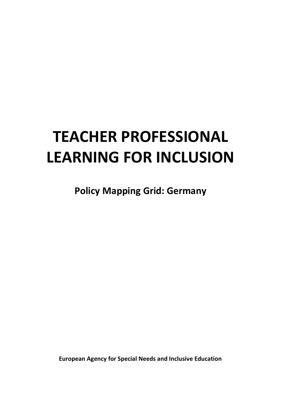# **TEACHER PROFESSIONAL LEARNING FOR INCLUSION**

**Policy Mapping Grid: Germany**

**European Agency for Special Needs and Inclusive Education**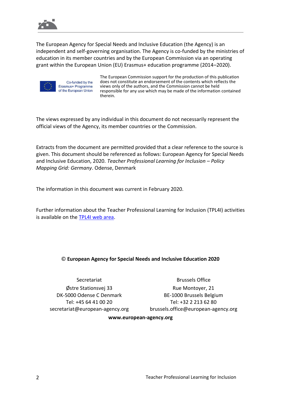

The European Agency for Special Needs and Inclusive Education (the Agency) is an independent and self-governing organisation. The Agency is co-funded by the ministries of education in its member countries and by the European Commission via an operating grant within the European Union (EU) Erasmus+ education programme (2014–2020).



Co-funded by the Erasmus+ Programme of the European Union

The European Commission support for the production of this publication does not constitute an endorsement of the contents which reflects the views only of the authors, and the Commission cannot be held responsible for any use which may be made of the information contained therein.

The views expressed by any individual in this document do not necessarily represent the official views of the Agency, its member countries or the Commission.

Extracts from the document are permitted provided that a clear reference to the source is given. This document should be referenced as follows: European Agency for Special Needs and Inclusive Education, 2020. *Teacher Professional Learning for Inclusion – Policy Mapping Grid: Germany*. Odense, Denmark

The information in this document was current in February 2020.

Further information about the Teacher Professional Learning for Inclusion (TPL4I) activities is available on the [TPL4I web area.](https://www.european-agency.org/projects/tpl4i)

## © **European Agency for Special Needs and Inclusive Education 2020**

**Secretariat** Østre Stationsvej 33 DK-5000 Odense C Denmark Tel: +45 64 41 00 20 [secretariat@european-agency.org](mailto:secretariat@european-agency.org)

Brussels Office Rue Montoyer, 21 BE-1000 Brussels Belgium Tel: +32 2 213 62 80 [brussels.office@european-agency.org](mailto:brussels.office@european-agency.org)

#### **[www.european-agency.org](http://www.european-agency.org/)**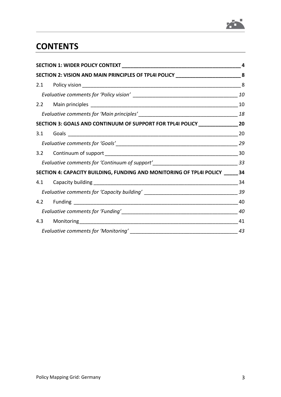

# **CONTENTS**

| SECTION 2: VISION AND MAIN PRINCIPLES OF TPL4I POLICY _________________________8    |    |
|-------------------------------------------------------------------------------------|----|
|                                                                                     |    |
|                                                                                     |    |
|                                                                                     |    |
|                                                                                     |    |
| SECTION 3: GOALS AND CONTINUUM OF SUPPORT FOR TPL4I POLICY _____________________20  |    |
|                                                                                     |    |
|                                                                                     |    |
|                                                                                     |    |
| Evaluative comments for 'Continuum of support'___________________________________33 |    |
| SECTION 4: CAPACITY BUILDING, FUNDING AND MONITORING OF TPL4I POLICY 34             |    |
|                                                                                     |    |
|                                                                                     |    |
|                                                                                     |    |
|                                                                                     | 40 |
|                                                                                     | 41 |
|                                                                                     |    |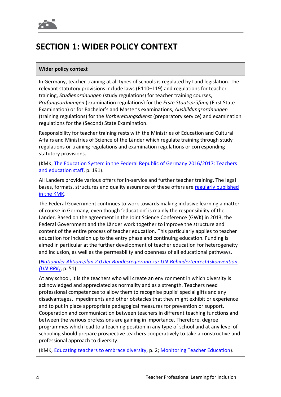# **SECTION 1: WIDER POLICY CONTEXT**

# **Wider policy context**

In Germany, teacher training at all types of schools is regulated by Land legislation. The relevant statutory provisions include laws (R110–119) and regulations for teacher training, *Studienordnungen* (study regulations) for teacher training courses, *Prüfungsordnungen* (examination regulations) for the *Erste Staatsprüfung* (First State Examination) or for Bachelor's and Master's examinations, *Ausbildungsordnungen* (training regulations) for the *Vorbereitungsdienst* (preparatory service) and examination regulations for the (Second) State Examination.

Responsibility for teacher training rests with the Ministries of Education and Cultural Affairs and Ministries of Science of the Länder which regulate training through study regulations or training regulations and examination regulations or corresponding statutory provisions.

(KMK, [The Education System in the Federal Republic of Germany 2016/2017: Teachers](https://www.kmk.org/fileadmin/Dateien/pdf/Eurydice/Bildungswesen-engl-pdfs/teachers.pdf)  [and education staff,](https://www.kmk.org/fileadmin/Dateien/pdf/Eurydice/Bildungswesen-engl-pdfs/teachers.pdf) p. 191).

All Landers provide various offers for in-service and further teacher training. The legal bases, formats, structures and quality assurance of these offers are [regularly published](https://www.kmk.org/fileadmin/Dateien/pdf/Bildung/AllgBildung/2017-12-19_Lehrerfortbildung_in_den_Laendern__003_.pdf)  [in the KMK.](https://www.kmk.org/fileadmin/Dateien/pdf/Bildung/AllgBildung/2017-12-19_Lehrerfortbildung_in_den_Laendern__003_.pdf)

The Federal Government continues to work towards making inclusive learning a matter of course in Germany, even though 'education' is mainly the responsibility of the Länder. Based on the agreement in the Joint Science Conference (GWK) in 2013, the Federal Government and the Länder work together to improve the structure and content of the entire process of teacher education. This particularly applies to teacher education for inclusion up to the entry phase and continuing education. Funding is aimed in particular at the further development of teacher education for heterogeneity and inclusion, as well as the permeability and openness of all educational pathways.

(*Nationaler Aktionsplan [2.0 der Bundesregierung zur UN-Behindertenrechtskonvention](https://www.gemeinsam-einfach-machen.de/SharedDocs/Downloads/DE/AS/NAP2/NAP2.pdf?__blob=publicationFile&v=3) [\(UN-BRK\)](https://www.gemeinsam-einfach-machen.de/SharedDocs/Downloads/DE/AS/NAP2/NAP2.pdf?__blob=publicationFile&v=3)*, p. 51)

At any school, it is the teachers who will create an environment in which diversity is acknowledged and appreciated as normality and as a strength. Teachers need professional competences to allow them to recognise pupils' special gifts and any disadvantages, impediments and other obstacles that they might exhibit or experience and to put in place appropriate pedagogical measures for prevention or support. Cooperation and communication between teachers in different teaching functions and between the various professions are gaining in importance. Therefore, degree programmes which lead to a teaching position in any type of school and at any level of schooling should prepare prospective teachers cooperatively to take a constructive and professional approach to diversity.

(KMK, [Educating teachers to embrace diversity,](https://www.kmk.org/fileadmin/Dateien/veroeffentlichungen_beschluesse/2015/2015_03_12-KMK-HRK-Empfehlung-Vielfalt-englisch.pdf) p. 2[; Monitoring Teacher Education\)](https://www.monitor-lehrerbildung.de/web/publikationen/inklusion/Wie-kann-Inklusion-in-der-Lehrerbildung-umgesetzt-werden).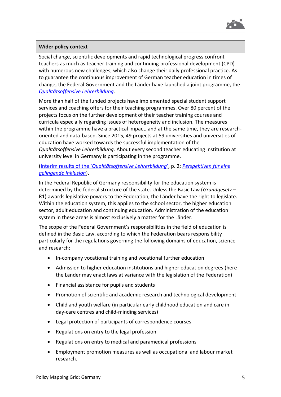

### **Wider policy context**

Social change, scientific developments and rapid technological progress confront teachers as much as teacher training and continuing professional development (CPD) with numerous new challenges, which also change their daily professional practice. As to guarantee the continuous improvement of German teacher education in times of change, the Federal Government and the Länder have launched a joint programme, the *[Qualitätsoffensive Lehrerbildung](https://www.qualitaetsoffensive-lehrerbildung.de/)*.

More than half of the funded projects have implemented special student support services and coaching offers for their teaching programmes. Over 80 percent of the projects focus on the further development of their teacher training courses and curricula especially regarding issues of heterogeneity and inclusion. The measures within the programme have a practical impact, and at the same time, they are researchoriented and data-based. Since 2015, 49 projects at 59 universities and universities of education have worked towards the successful implementation of the *Qualitätsoffensive Lehrerbildung*. About every second teacher educating institution at university level in Germany is participating in the programme.

# (Interim results of the '*[Qualitätsoffensive Lehrerbildung](https://www.qualitaetsoffensive-lehrerbildung.de/files/BMBF_QLB_2019_ENG_barrierefrei.pdf)*', p. 2; *[Perspektiven für eine](https://www.qualitaetsoffensive-lehrerbildung.de/files/Perspektiven_fuer_eine_gelingende_Inklusion.pdf)  [gelingende Inklusion](https://www.qualitaetsoffensive-lehrerbildung.de/files/Perspektiven_fuer_eine_gelingende_Inklusion.pdf)*).

In the Federal Republic of Germany responsibility for the education system is determined by the federal structure of the state. Unless the Basic Law (*Grundgesetz* – R1) awards legislative powers to the Federation, the Länder have the right to legislate. Within the education system, this applies to the school sector, the higher education sector, adult education and continuing education. Administration of the education system in these areas is almost exclusively a matter for the Länder.

The scope of the Federal Government's responsibilities in the field of education is defined in the Basic Law, according to which the Federation bears responsibility particularly for the regulations governing the following domains of education, science and research:

- In-company vocational training and vocational further education
- Admission to higher education institutions and higher education degrees (here the Länder may enact laws at variance with the legislation of the Federation)
- Financial assistance for pupils and students
- Promotion of scientific and academic research and technological development
- Child and youth welfare (in particular early childhood education and care in day-care centres and child-minding services)
- Legal protection of participants of correspondence courses
- Regulations on entry to the legal profession
- Regulations on entry to medical and paramedical professions
- Employment promotion measures as well as occupational and labour market research.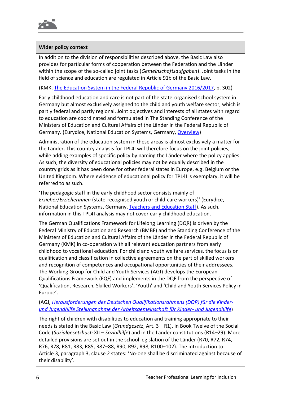

# **Wider policy context**

In addition to the division of responsibilities described above, the Basic Law also provides for particular forms of cooperation between the Federation and the Länder within the scope of the so-called joint tasks (*Gemeinschaftsaufgaben*). Joint tasks in the field of science and education are regulated in Article 91b of the Basic Law.

(KMK, [The Education System in the Federal Republic of Germany 2016/2017,](https://www.kmk.org/dokumentation-statistik/informationen-zum-deutschen-bildungssystem/dossier-englisch.html) p. 302)

Early childhood education and care is not part of the state-organised school system in Germany but almost exclusively assigned to the child and youth welfare sector, which is partly federal and partly regional. Joint objectives and interests of all states with regard to education are coordinated and formulated in The Standing Conference of the Ministers of Education and Cultural Affairs of the Länder in the Federal Republic of Germany. (Eurydice, National Education Systems, Germany, [Overview\)](https://eacea.ec.europa.eu/national-policies/eurydice/content/germany_en)

Administration of the education system in these areas is almost exclusively a matter for the Länder. This country analysis for TPL4I will therefore focus on the joint policies, while adding examples of specific policy by naming the Länder where the policy applies. As such, the diversity of educational policies may not be equally described in the country grids as it has been done for other federal states in Europe, e.g. Belgium or the United Kingdom. Where evidence of educational policy for TPL4I is exemplary, it will be referred to as such.

'The pedagogic staff in the early childhood sector consists mainly of *Erzieher*/*Erzieherinnen* (state-recognised youth or child-care workers)' (Eurydice, National Education Systems, Germany, [Teachers and Education Staff\)](https://eacea.ec.europa.eu/national-policies/eurydice/content/teachers-and-education-staff-30_en). As such, information in this TPL4I analysis may not cover early childhood education.

The German Qualifications Framework for Lifelong Learning (DQR) is driven by the Federal Ministry of Education and Research (BMBF) and the Standing Conference of the Ministers of Education and Cultural Affairs of the Länder in the Federal Republic of Germany (KMK) in co-operation with all relevant education partners from early childhood to vocational education. For child and youth welfare services, the focus is on qualification and classification in collective agreements on the part of skilled workers and recognition of competences and occupational opportunities of their addressees. The Working Group for Child and Youth Services (AGJ) develops the European Qualifications Framework (EQF) and implements in the DQF from the perspective of 'Qualification, Research, Skilled Workers', 'Youth' and 'Child and Youth Services Policy in Europe'.

(AGJ, *[Herausforderungen des Deutschen Qualifikationsrahmens \(DQR\) für die Kinder](https://www.bvktp.de/media/dqr_agj_stellungnahme.pdf)[und Jugendhilfe Stellungnahme der Arbeitsgemeinschaft für Kinder-](https://www.bvktp.de/media/dqr_agj_stellungnahme.pdf) und Jugendhilfe*)

The right of children with disabilities to education and training appropriate to their needs is stated in the Basic Law (*Grundgesetz*, Art. 3 – R1), in Book Twelve of the Social Code (*Sozialgesetzbuch* XII – *Sozialhilfe*) and in the Länder constitutions (R14–29). More detailed provisions are set out in the school legislation of the Länder (R70, R72, R74, R76, R78, R81, R83, R85, R87–88, R90, R92, R98, R100–102). The introduction to Article 3, paragraph 3, clause 2 states: 'No-one shall be discriminated against because of their disability'.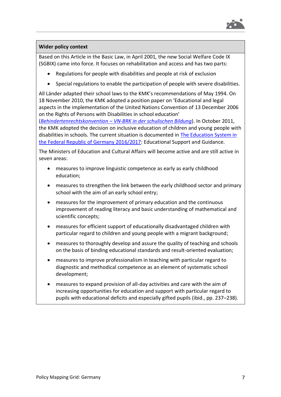

### **Wider policy context**

Based on this Article in the Basic Law, in April 2001, the new Social Welfare Code IX (SGBIX) came into force. It focuses on rehabilitation and access and has two parts:

- Regulations for people with disabilities and people at risk of exclusion
- Special regulations to enable the participation of people with severe disabilities.

All Länder adapted their school laws to the KMK's recommendations of May 1994. On 18 November 2010, the KMK adopted a position paper on 'Educational and legal aspects in the implementation of the United Nations Convention of 13 December 2006 on the Rights of Persons with Disabilities in school education'

(*Behindertenrechtskonvention* – *[VN-BRK in der schulischen Bildung](https://www.kmk.org/fileadmin/Dateien/veroeffentlichungen_beschluesse/2010/2010_11_18-Behindertenrechtkonvention.pdf)*). In October 2011, the KMK adopted the decision on inclusive education of children and young people with disabilities in schools. The current situation is documented in [The Education System in](https://www.kmk.org/fileadmin/Dateien/pdf/Eurydice/Bildungswesen-engl-pdfs/dossier_en_ebook.pdf)  [the Federal Republic of Germany 2016/2017:](https://www.kmk.org/fileadmin/Dateien/pdf/Eurydice/Bildungswesen-engl-pdfs/dossier_en_ebook.pdf) Educational Support and Guidance.

The Ministers of Education and Cultural Affairs will become active and are still active in seven areas:

- measures to improve linguistic competence as early as early childhood education;
- measures to strengthen the link between the early childhood sector and primary school with the aim of an early school entry;
- measures for the improvement of primary education and the continuous improvement of reading literacy and basic understanding of mathematical and scientific concepts;
- measures for efficient support of educationally disadvantaged children with particular regard to children and young people with a migrant background;
- measures to thoroughly develop and assure the quality of teaching and schools on the basis of binding educational standards and result-oriented evaluation;
- measures to improve professionalism in teaching with particular regard to diagnostic and methodical competence as an element of systematic school development;
- measures to expand provision of all-day activities and care with the aim of increasing opportunities for education and support with particular regard to pupils with educational deficits and especially gifted pupils (ibid., pp. 237–238).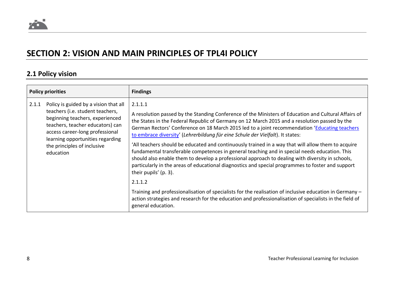# **SECTION 2: VISION AND MAIN PRINCIPLES OF TPL4I POLICY**

# **2.1 Policy vision**

| <b>Policy priorities</b> |                                                                                                                                                                                                                                                                     | <b>Findings</b>                                                                                                                                                                                                                                                                                                                                                                                                                                                                                                                                                                                                                                                                                                                                                                                                                                         |
|--------------------------|---------------------------------------------------------------------------------------------------------------------------------------------------------------------------------------------------------------------------------------------------------------------|---------------------------------------------------------------------------------------------------------------------------------------------------------------------------------------------------------------------------------------------------------------------------------------------------------------------------------------------------------------------------------------------------------------------------------------------------------------------------------------------------------------------------------------------------------------------------------------------------------------------------------------------------------------------------------------------------------------------------------------------------------------------------------------------------------------------------------------------------------|
| 2.1.1                    | Policy is guided by a vision that all<br>teachers (i.e. student teachers,<br>beginning teachers, experienced<br>teachers, teacher educators) can<br>access career-long professional<br>learning opportunities regarding<br>the principles of inclusive<br>education | 2.1.1.1<br>A resolution passed by the Standing Conference of the Ministers of Education and Cultural Affairs of<br>the States in the Federal Republic of Germany on 12 March 2015 and a resolution passed by the<br>German Rectors' Conference on 18 March 2015 led to a joint recommendation 'Educating teachers<br>to embrace diversity' (Lehrerbildung für eine Schule der Vielfalt). It states:<br>'All teachers should be educated and continuously trained in a way that will allow them to acquire<br>fundamental transferable competences in general teaching and in special needs education. This<br>should also enable them to develop a professional approach to dealing with diversity in schools,<br>particularly in the areas of educational diagnostics and special programmes to foster and support<br>their pupils' (p. 3).<br>2.1.1.2 |
|                          |                                                                                                                                                                                                                                                                     | Training and professionalisation of specialists for the realisation of inclusive education in Germany -<br>action strategies and research for the education and professionalisation of specialists in the field of<br>general education.                                                                                                                                                                                                                                                                                                                                                                                                                                                                                                                                                                                                                |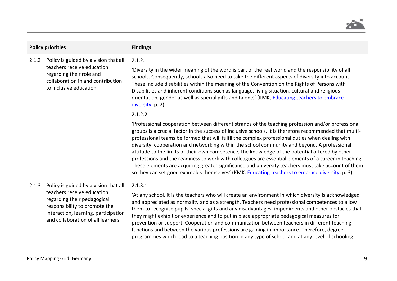

| <b>Policy priorities</b> |                                                                                                                                                                                                                  | <b>Findings</b>                                                                                                                                                                                                                                                                                                                                                                                                                                                                                                                                                                                                                                                                                                                                                                                                                        |
|--------------------------|------------------------------------------------------------------------------------------------------------------------------------------------------------------------------------------------------------------|----------------------------------------------------------------------------------------------------------------------------------------------------------------------------------------------------------------------------------------------------------------------------------------------------------------------------------------------------------------------------------------------------------------------------------------------------------------------------------------------------------------------------------------------------------------------------------------------------------------------------------------------------------------------------------------------------------------------------------------------------------------------------------------------------------------------------------------|
| 2.1.2                    | Policy is guided by a vision that all<br>teachers receive education<br>regarding their role and<br>collaboration in and contribution<br>to inclusive education                                                   | 2.1.2.1<br>'Diversity in the wider meaning of the word is part of the real world and the responsibility of all<br>schools. Consequently, schools also need to take the different aspects of diversity into account.<br>These include disabilities within the meaning of the Convention on the Rights of Persons with<br>Disabilities and inherent conditions such as language, living situation, cultural and religious<br>orientation, gender as well as special gifts and talents' (KMK, Educating teachers to embrace<br>diversity, p. 2).<br>2.1.2.2                                                                                                                                                                                                                                                                               |
|                          |                                                                                                                                                                                                                  | 'Professional cooperation between different strands of the teaching profession and/or professional<br>groups is a crucial factor in the success of inclusive schools. It is therefore recommended that multi-<br>professional teams be formed that will fulfil the complex professional duties when dealing with<br>diversity, cooperation and networking within the school community and beyond. A professional<br>attitude to the limits of their own competence, the knowledge of the potential offered by other<br>professions and the readiness to work with colleagues are essential elements of a career in teaching.<br>These elements are acquiring greater significance and university teachers must take account of them<br>so they can set good examples themselves' (KMK, Educating teachers to embrace diversity, p. 3). |
| 2.1.3                    | Policy is guided by a vision that all<br>teachers receive education<br>regarding their pedagogical<br>responsibility to promote the<br>interaction, learning, participation<br>and collaboration of all learners | 2.1.3.1<br>'At any school, it is the teachers who will create an environment in which diversity is acknowledged<br>and appreciated as normality and as a strength. Teachers need professional competences to allow<br>them to recognise pupils' special gifts and any disadvantages, impediments and other obstacles that<br>they might exhibit or experience and to put in place appropriate pedagogical measures for<br>prevention or support. Cooperation and communication between teachers in different teaching<br>functions and between the various professions are gaining in importance. Therefore, degree<br>programmes which lead to a teaching position in any type of school and at any level of schooling                                                                                                                |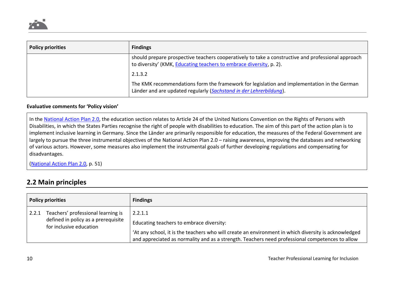

| <b>Policy priorities</b> | <b>Findings</b>                                                                                                                                                           |
|--------------------------|---------------------------------------------------------------------------------------------------------------------------------------------------------------------------|
|                          | should prepare prospective teachers cooperatively to take a constructive and professional approach<br>to diversity' (KMK, Educating teachers to embrace diversity, p. 2). |
|                          | 2.1.3.2                                                                                                                                                                   |
|                          | The KMK recommendations form the framework for legislation and implementation in the German<br>Länder and are updated regularly (Sachstand in der Lehrerbildung).         |

#### **Evaluative comments for 'Policy vision'**

In the [National Action Plan 2.0,](https://www.gemeinsam-einfach-machen.de/SharedDocs/Downloads/DE/AS/NAP2/NAP2.pdf?__blob=publicationFile&v=3) the education section relates to Article 24 of the United Nations Convention on the Rights of Persons with Disabilities, in which the States Parties recognise the right of people with disabilities to education. The aim of this part of the action plan is to implement inclusive learning in Germany. Since the Länder are primarily responsible for education, the measures of the Federal Government are largely to pursue the three instrumental objectives of the National Action Plan 2.0 – raising awareness, improving the databases and networking of various actors. However, some measures also implement the instrumental goals of further developing regulations and compensating for disadvantages.

[\(National Action Plan 2.0,](https://www.gemeinsam-einfach-machen.de/SharedDocs/Downloads/DE/AS/NAP2/NAP2.pdf?__blob=publicationFile&v=3) p. 51)

# **2.2 Main principles**

| <b>Policy priorities</b> |                                                                                                      | <b>Findings</b>                                                                                                                                                                                                                                                |
|--------------------------|------------------------------------------------------------------------------------------------------|----------------------------------------------------------------------------------------------------------------------------------------------------------------------------------------------------------------------------------------------------------------|
| 2.2.1                    | Teachers' professional learning is<br>defined in policy as a prerequisite<br>for inclusive education | 2.2.1.1<br>Educating teachers to embrace diversity:<br>'At any school, it is the teachers who will create an environment in which diversity is acknowledged<br>and appreciated as normality and as a strength. Teachers need professional competences to allow |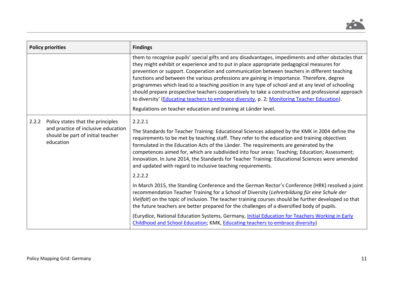

| <b>Policy priorities</b> |                                                                                                                            | <b>Findings</b>                                                                                                                                                                                                                                                                                                                                                                                                                                                                                                                                                                                                                                                                                                                                                           |
|--------------------------|----------------------------------------------------------------------------------------------------------------------------|---------------------------------------------------------------------------------------------------------------------------------------------------------------------------------------------------------------------------------------------------------------------------------------------------------------------------------------------------------------------------------------------------------------------------------------------------------------------------------------------------------------------------------------------------------------------------------------------------------------------------------------------------------------------------------------------------------------------------------------------------------------------------|
|                          |                                                                                                                            | them to recognise pupils' special gifts and any disadvantages, impediments and other obstacles that<br>they might exhibit or experience and to put in place appropriate pedagogical measures for<br>prevention or support. Cooperation and communication between teachers in different teaching<br>functions and between the various professions are gaining in importance. Therefore, degree<br>programmes which lead to a teaching position in any type of school and at any level of schooling<br>should prepare prospective teachers cooperatively to take a constructive and professional approach<br>to diversity' (Educating teachers to embrace diversity, p. 2; Monitoring Teacher Education).<br>Regulations on teacher education and training at Länder level. |
| 2.2.2                    | Policy states that the principles<br>and practice of inclusive education<br>should be part of initial teacher<br>education | 2.2.2.1<br>The Standards for Teacher Training: Educational Sciences adopted by the KMK in 2004 define the<br>requirements to be met by teaching staff. They refer to the education and training objectives<br>formulated in the Education Acts of the Länder. The requirements are generated by the<br>competences aimed for, which are subdivided into four areas: Teaching; Education; Assessment;<br>Innovation. In June 2014, the Standards for Teacher Training: Educational Sciences were amended<br>and updated with regard to inclusive teaching requirements.                                                                                                                                                                                                    |
|                          |                                                                                                                            | 2.2.2.2                                                                                                                                                                                                                                                                                                                                                                                                                                                                                                                                                                                                                                                                                                                                                                   |
|                          |                                                                                                                            | In March 2015, the Standing Conference and the German Rector's Conference (HRK) resolved a joint<br>recommendation Teacher Training for a School of Diversity (Lehrerbildung für eine Schule der<br>Vielfalt) on the topic of inclusion. The teacher training courses should be further developed so that<br>the future teachers are better prepared for the challenges of a diversified body of pupils.                                                                                                                                                                                                                                                                                                                                                                  |
|                          |                                                                                                                            | (Eurydice, National Education Systems, Germany, Initial Education for Teachers Working in Early<br>Childhood and School Education; KMK, Educating teachers to embrace diversity)                                                                                                                                                                                                                                                                                                                                                                                                                                                                                                                                                                                          |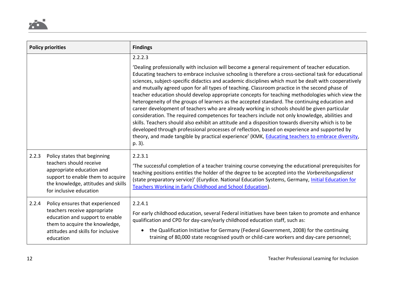

| <b>Policy priorities</b> |                                                                                                                                                                                             | <b>Findings</b>                                                                                                                                                                                                                                                                                                                                                                                                                                                                                                                                                                                                                                                                                                                                                                                                                                                                                                                                                                                                                                                                                                                               |
|--------------------------|---------------------------------------------------------------------------------------------------------------------------------------------------------------------------------------------|-----------------------------------------------------------------------------------------------------------------------------------------------------------------------------------------------------------------------------------------------------------------------------------------------------------------------------------------------------------------------------------------------------------------------------------------------------------------------------------------------------------------------------------------------------------------------------------------------------------------------------------------------------------------------------------------------------------------------------------------------------------------------------------------------------------------------------------------------------------------------------------------------------------------------------------------------------------------------------------------------------------------------------------------------------------------------------------------------------------------------------------------------|
|                          |                                                                                                                                                                                             | 2.2.2.3                                                                                                                                                                                                                                                                                                                                                                                                                                                                                                                                                                                                                                                                                                                                                                                                                                                                                                                                                                                                                                                                                                                                       |
|                          |                                                                                                                                                                                             | 'Dealing professionally with inclusion will become a general requirement of teacher education.<br>Educating teachers to embrace inclusive schooling is therefore a cross-sectional task for educational<br>sciences, subject-specific didactics and academic disciplines which must be dealt with cooperatively<br>and mutually agreed upon for all types of teaching. Classroom practice in the second phase of<br>teacher education should develop appropriate concepts for teaching methodologies which view the<br>heterogeneity of the groups of learners as the accepted standard. The continuing education and<br>career development of teachers who are already working in schools should be given particular<br>consideration. The required competences for teachers include not only knowledge, abilities and<br>skills. Teachers should also exhibit an attitude and a disposition towards diversity which is to be<br>developed through professional processes of reflection, based on experience and supported by<br>theory, and made tangible by practical experience' (KMK, Educating teachers to embrace diversity,<br>p. 3). |
| 2.2.3                    | Policy states that beginning<br>teachers should receive<br>appropriate education and<br>support to enable them to acquire<br>the knowledge, attitudes and skills<br>for inclusive education | 2.2.3.1<br>'The successful completion of a teacher training course conveying the educational prerequisites for<br>teaching positions entitles the holder of the degree to be accepted into the Vorbereitungsdienst<br>(state preparatory service)' (Eurydice. National Education Systems, Germany, Initial Education for<br>Teachers Working in Early Childhood and School Education).                                                                                                                                                                                                                                                                                                                                                                                                                                                                                                                                                                                                                                                                                                                                                        |
| 2.2.4                    | Policy ensures that experienced<br>teachers receive appropriate<br>education and support to enable<br>them to acquire the knowledge,<br>attitudes and skills for inclusive<br>education     | 2.2.4.1<br>For early childhood education, several Federal initiatives have been taken to promote and enhance<br>qualification and CPD for day-care/early childhood education staff, such as:<br>the Qualification Initiative for Germany (Federal Government, 2008) for the continuing<br>$\bullet$<br>training of 80,000 state recognised youth or child-care workers and day-care personnel;                                                                                                                                                                                                                                                                                                                                                                                                                                                                                                                                                                                                                                                                                                                                                |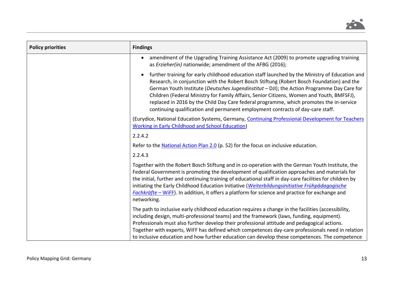

| <b>Policy priorities</b> | <b>Findings</b>                                                                                                                                                                                                                                                                                                                                                                                                                                                                                                                                                     |
|--------------------------|---------------------------------------------------------------------------------------------------------------------------------------------------------------------------------------------------------------------------------------------------------------------------------------------------------------------------------------------------------------------------------------------------------------------------------------------------------------------------------------------------------------------------------------------------------------------|
|                          | amendment of the Upgrading Training Assistance Act (2009) to promote upgrading training<br>as Erzieher(in) nationwide; amendment of the AFBG (2016);                                                                                                                                                                                                                                                                                                                                                                                                                |
|                          | further training for early childhood education staff launched by the Ministry of Education and<br>Research, in conjunction with the Robert Bosch Stiftung (Robert Bosch Foundation) and the<br>German Youth Institute (Deutsches Jugendinstitut - DJI); the Action Programme Day Care for<br>Children (Federal Ministry for Family Affairs, Senior Citizens, Women and Youth, BMFSFJ),<br>replaced in 2016 by the Child Day Care federal programme, which promotes the in-service<br>continuing qualification and permanent employment contracts of day-care staff. |
|                          | (Eurydice, National Education Systems, Germany, Continuing Professional Development for Teachers<br><b>Working in Early Childhood and School Education)</b>                                                                                                                                                                                                                                                                                                                                                                                                         |
|                          | 2.2.4.2                                                                                                                                                                                                                                                                                                                                                                                                                                                                                                                                                             |
|                          | Refer to the National Action Plan 2.0 (p. 52) for the focus on inclusive education.                                                                                                                                                                                                                                                                                                                                                                                                                                                                                 |
|                          | 2.2.4.3                                                                                                                                                                                                                                                                                                                                                                                                                                                                                                                                                             |
|                          | Together with the Robert Bosch Stiftung and in co-operation with the German Youth Institute, the<br>Federal Government is promoting the development of qualification approaches and materials for<br>the initial, further and continuing training of educational staff in day-care facilities for children by<br>initiating the Early Childhood Education Initiative (Weiterbildungsinitiative Frühpädagogische<br>Fachkräfte - WiFF). In addition, it offers a platform for science and practice for exchange and<br>networking.                                   |
|                          | The path to inclusive early childhood education requires a change in the facilities (accessibility,<br>including design, multi-professional teams) and the framework (laws, funding, equipment).<br>Professionals must also further develop their professional attitude and pedagogical actions.<br>Together with experts, WiFF has defined which competences day-care professionals need in relation<br>to inclusive education and how further education can develop these competences. The competence                                                             |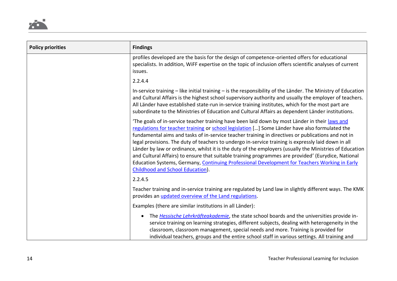

| <b>Policy priorities</b> | <b>Findings</b>                                                                                                                                                                                                                                                                                                                                                                                                                                                                                                                                                                                                                                                                                                                                                      |
|--------------------------|----------------------------------------------------------------------------------------------------------------------------------------------------------------------------------------------------------------------------------------------------------------------------------------------------------------------------------------------------------------------------------------------------------------------------------------------------------------------------------------------------------------------------------------------------------------------------------------------------------------------------------------------------------------------------------------------------------------------------------------------------------------------|
|                          | profiles developed are the basis for the design of competence-oriented offers for educational<br>specialists. In addition, WiFF expertise on the topic of inclusion offers scientific analyses of current<br>issues.                                                                                                                                                                                                                                                                                                                                                                                                                                                                                                                                                 |
|                          | 2.2.4.4                                                                                                                                                                                                                                                                                                                                                                                                                                                                                                                                                                                                                                                                                                                                                              |
|                          | In-service training $-$ like initial training $-$ is the responsibility of the Länder. The Ministry of Education<br>and Cultural Affairs is the highest school supervisory authority and usually the employer of teachers.<br>All Länder have established state-run in-service training institutes, which for the most part are<br>subordinate to the Ministries of Education and Cultural Affairs as dependent Länder institutions.                                                                                                                                                                                                                                                                                                                                 |
|                          | 'The goals of in-service teacher training have been laid down by most Länder in their laws and<br>regulations for teacher training or school legislation [] Some Länder have also formulated the<br>fundamental aims and tasks of in-service teacher training in directives or publications and not in<br>legal provisions. The duty of teachers to undergo in-service training is expressly laid down in all<br>Länder by law or ordinance, whilst it is the duty of the employers (usually the Ministries of Education<br>and Cultural Affairs) to ensure that suitable training programmes are provided' (Eurydice, National<br>Education Systems, Germany, Continuing Professional Development for Teachers Working in Early<br>Childhood and School Education). |
|                          | 2.2.4.5                                                                                                                                                                                                                                                                                                                                                                                                                                                                                                                                                                                                                                                                                                                                                              |
|                          | Teacher training and in-service training are regulated by Land law in slightly different ways. The KMK<br>provides an <i>updated</i> overview of the Land regulations.                                                                                                                                                                                                                                                                                                                                                                                                                                                                                                                                                                                               |
|                          | Examples (there are similar institutions in all Länder):                                                                                                                                                                                                                                                                                                                                                                                                                                                                                                                                                                                                                                                                                                             |
|                          | The <i>Hessische Lehrkräfteakademie</i> , the state school boards and the universities provide in-<br>$\bullet$<br>service training on learning strategies, different subjects, dealing with heterogeneity in the<br>classroom, classroom management, special needs and more. Training is provided for<br>individual teachers, groups and the entire school staff in various settings. All training and                                                                                                                                                                                                                                                                                                                                                              |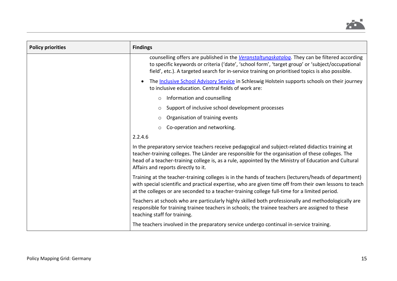

| <b>Policy priorities</b> | <b>Findings</b>                                                                                                                                                                                                                                                                                                                                        |
|--------------------------|--------------------------------------------------------------------------------------------------------------------------------------------------------------------------------------------------------------------------------------------------------------------------------------------------------------------------------------------------------|
|                          | counselling offers are published in the Veranstaltungskatalog. They can be filtered according<br>to specific keywords or criteria ('date', 'school form', 'target group' or 'subject/occupational<br>field', etc.). A targeted search for in-service training on prioritised topics is also possible.                                                  |
|                          | The <b>Inclusive School Advisory Service</b> in Schleswig Holstein supports schools on their journey<br>to inclusive education. Central fields of work are:                                                                                                                                                                                            |
|                          | Information and counselling<br>$\circ$                                                                                                                                                                                                                                                                                                                 |
|                          | Support of inclusive school development processes<br>$\circ$                                                                                                                                                                                                                                                                                           |
|                          | Organisation of training events                                                                                                                                                                                                                                                                                                                        |
|                          | Co-operation and networking.                                                                                                                                                                                                                                                                                                                           |
|                          | 2.2.4.6                                                                                                                                                                                                                                                                                                                                                |
|                          | In the preparatory service teachers receive pedagogical and subject-related didactics training at<br>teacher-training colleges. The Länder are responsible for the organisation of these colleges. The<br>head of a teacher-training college is, as a rule, appointed by the Ministry of Education and Cultural<br>Affairs and reports directly to it. |
|                          | Training at the teacher-training colleges is in the hands of teachers (lecturers/heads of department)<br>with special scientific and practical expertise, who are given time off from their own lessons to teach<br>at the colleges or are seconded to a teacher-training college full-time for a limited period.                                      |
|                          | Teachers at schools who are particularly highly skilled both professionally and methodologically are<br>responsible for training trainee teachers in schools; the trainee teachers are assigned to these<br>teaching staff for training.                                                                                                               |
|                          | The teachers involved in the preparatory service undergo continual in-service training.                                                                                                                                                                                                                                                                |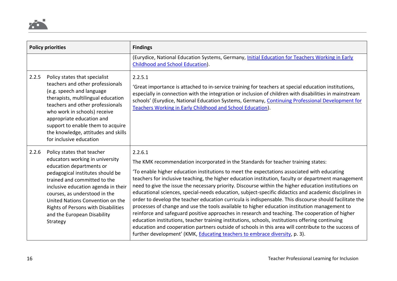

| <b>Policy priorities</b> |                                                                                                                                                                                                                                                                                                                                                                    | <b>Findings</b>                                                                                                                                                                                                                                                                                                                                                                                                                                                                                                                                                                                                                                                                                                                                                                                                                                                                                                                                                                                                                                                                                                              |
|--------------------------|--------------------------------------------------------------------------------------------------------------------------------------------------------------------------------------------------------------------------------------------------------------------------------------------------------------------------------------------------------------------|------------------------------------------------------------------------------------------------------------------------------------------------------------------------------------------------------------------------------------------------------------------------------------------------------------------------------------------------------------------------------------------------------------------------------------------------------------------------------------------------------------------------------------------------------------------------------------------------------------------------------------------------------------------------------------------------------------------------------------------------------------------------------------------------------------------------------------------------------------------------------------------------------------------------------------------------------------------------------------------------------------------------------------------------------------------------------------------------------------------------------|
|                          |                                                                                                                                                                                                                                                                                                                                                                    | (Eurydice, National Education Systems, Germany, Initial Education for Teachers Working in Early<br>Childhood and School Education).                                                                                                                                                                                                                                                                                                                                                                                                                                                                                                                                                                                                                                                                                                                                                                                                                                                                                                                                                                                          |
| 2.2.5                    | Policy states that specialist<br>teachers and other professionals<br>(e.g. speech and language<br>therapists, multilingual education<br>teachers and other professionals<br>who work in schools) receive<br>appropriate education and<br>support to enable them to acquire<br>the knowledge, attitudes and skills<br>for inclusive education                       | 2.2.5.1<br>'Great importance is attached to in-service training for teachers at special education institutions,<br>especially in connection with the integration or inclusion of children with disabilities in mainstream<br>schools' (Eurydice, National Education Systems, Germany, Continuing Professional Development for<br>Teachers Working in Early Childhood and School Education).                                                                                                                                                                                                                                                                                                                                                                                                                                                                                                                                                                                                                                                                                                                                  |
| 2.2.6                    | Policy states that teacher<br>educators working in university<br>education departments or<br>pedagogical institutes should be<br>trained and committed to the<br>inclusive education agenda in their<br>courses, as understood in the<br>United Nations Convention on the<br><b>Rights of Persons with Disabilities</b><br>and the European Disability<br>Strategy | 2.2.6.1<br>The KMK recommendation incorporated in the Standards for teacher training states:<br>'To enable higher education institutions to meet the expectations associated with educating<br>teachers for inclusive teaching, the higher education institution, faculty or department management<br>need to give the issue the necessary priority. Discourse within the higher education institutions on<br>educational sciences, special-needs education, subject-specific didactics and academic disciplines in<br>order to develop the teacher education curricula is indispensable. This discourse should facilitate the<br>processes of change and use the tools available to higher education institution management to<br>reinforce and safeguard positive approaches in research and teaching. The cooperation of higher<br>education institutions, teacher training institutions, schools, institutions offering continuing<br>education and cooperation partners outside of schools in this area will contribute to the success of<br>further development' (KMK, Educating teachers to embrace diversity, p. 3). |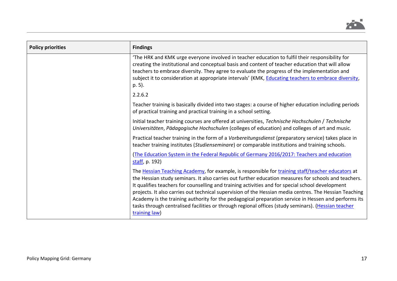

| <b>Policy priorities</b> | <b>Findings</b>                                                                                                                                                                                                                                                                                                                                                                                                                                                                                                                                                                                                                                         |
|--------------------------|---------------------------------------------------------------------------------------------------------------------------------------------------------------------------------------------------------------------------------------------------------------------------------------------------------------------------------------------------------------------------------------------------------------------------------------------------------------------------------------------------------------------------------------------------------------------------------------------------------------------------------------------------------|
|                          | 'The HRK and KMK urge everyone involved in teacher education to fulfil their responsibility for<br>creating the institutional and conceptual basis and content of teacher education that will allow<br>teachers to embrace diversity. They agree to evaluate the progress of the implementation and<br>subject it to consideration at appropriate intervals' (KMK, Educating teachers to embrace diversity,<br>p. 5).                                                                                                                                                                                                                                   |
|                          | 2.2.6.2                                                                                                                                                                                                                                                                                                                                                                                                                                                                                                                                                                                                                                                 |
|                          | Teacher training is basically divided into two stages: a course of higher education including periods<br>of practical training and practical training in a school setting.                                                                                                                                                                                                                                                                                                                                                                                                                                                                              |
|                          | Initial teacher training courses are offered at universities, Technische Hochschulen / Technische<br>Universitäten, Pädagogische Hochschulen (colleges of education) and colleges of art and music.                                                                                                                                                                                                                                                                                                                                                                                                                                                     |
|                          | Practical teacher training in the form of a Vorbereitungsdienst (preparatory service) takes place in<br>teacher training institutes (Studienseminare) or comparable institutions and training schools.                                                                                                                                                                                                                                                                                                                                                                                                                                                  |
|                          | (The Education System in the Federal Republic of Germany 2016/2017: Teachers and education<br>staff, p. 192)                                                                                                                                                                                                                                                                                                                                                                                                                                                                                                                                            |
|                          | The Hessian Teaching Academy, for example, is responsible for training staff/teacher educators at<br>the Hessian study seminars. It also carries out further education measures for schools and teachers.<br>It qualifies teachers for counselling and training activities and for special school development<br>projects. It also carries out technical supervision of the Hessian media centres. The Hessian Teaching<br>Academy is the training authority for the pedagogical preparation service in Hessen and performs its<br>tasks through centralised facilities or through regional offices (study seminars). (Hessian teacher<br>training law) |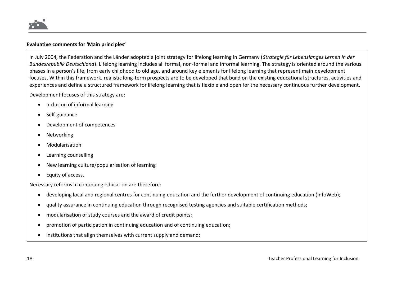

#### **Evaluative comments for 'Main principles'**

In July 2004, the Federation and the Länder adopted a joint strategy for lifelong learning in Germany (*Strategie für Lebenslanges Lernen in der Bundesrepublik Deutschland*). Lifelong learning includes all formal, non-formal and informal learning. The strategy is oriented around the various phases in a person's life, from early childhood to old age, and around key elements for lifelong learning that represent main development focuses. Within this framework, realistic long-term prospects are to be developed that build on the existing educational structures, activities and experiences and define a structured framework for lifelong learning that is flexible and open for the necessary continuous further development.

Development focuses of this strategy are:

- Inclusion of informal learning
- Self-guidance
- Development of competences
- **Networking**
- Modularisation
- Learning counselling
- New learning culture/popularisation of learning
- Equity of access.

Necessary reforms in continuing education are therefore:

- developing local and regional centres for continuing education and the further development of continuing education (InfoWeb);
- quality assurance in continuing education through recognised testing agencies and suitable certification methods;
- modularisation of study courses and the award of credit points;
- promotion of participation in continuing education and of continuing education;
- institutions that align themselves with current supply and demand;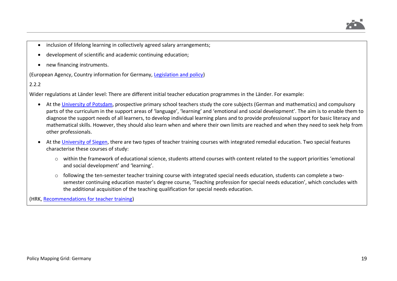

- inclusion of lifelong learning in collectively agreed salary arrangements;
- development of scientific and academic continuing education;
- new financing instruments.

(European Agency, Country information for Germany, [Legislation and policy\)](https://www.european-agency.org/country-information/germany/legislation-and-policy)

2.2.2

Wider regulations at Länder level: There are different initial teacher education programmes in the Länder. For example:

- At the [University of Potsdam,](https://www.uni-potsdam.de/de/inklusion/index.html) prospective primary school teachers study the core subjects (German and mathematics) and compulsory parts of the curriculum in the support areas of 'language', 'learning' and 'emotional and social development'. The aim is to enable them to diagnose the support needs of all learners, to develop individual learning plans and to provide professional support for basic literacy and mathematical skills. However, they should also learn when and where their own limits are reached and when they need to seek help from other professionals.
- At the [University of Siegen,](https://www.uni-siegen.de/zlb/studieninformationen/studiengaenge/haupt-real-gesamtschule-foerderpaedagogik.html?lang=de) there are two types of teacher training courses with integrated remedial education. Two special features characterise these courses of study:
	- o within the framework of educational science, students attend courses with content related to the support priorities 'emotional and social development' and 'learning'.
	- o following the ten-semester teacher training course with integrated special needs education, students can complete a twosemester continuing education master's degree course, 'Teaching profession for special needs education', which concludes with the additional acquisition of the teaching qualification for special needs education.

(HRK, [Recommendations for teacher training\)](https://www.hrk.de/uploads/media/2015-01_Lehrerbildung_01.pdf)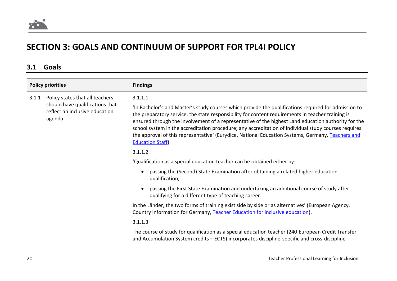

# **SECTION 3: GOALS AND CONTINUUM OF SUPPORT FOR TPL4I POLICY**

# **3.1 Goals**

| <b>Policy priorities</b> |                                                                                                                | <b>Findings</b>                                                                                                                                                                                                                                                                                                                                                                                                                                                                                                                                                     |
|--------------------------|----------------------------------------------------------------------------------------------------------------|---------------------------------------------------------------------------------------------------------------------------------------------------------------------------------------------------------------------------------------------------------------------------------------------------------------------------------------------------------------------------------------------------------------------------------------------------------------------------------------------------------------------------------------------------------------------|
| 3.1.1                    | Policy states that all teachers<br>should have qualifications that<br>reflect an inclusive education<br>agenda | 3.1.1.1<br>In Bachelor's and Master's study courses which provide the qualifications required for admission to<br>the preparatory service, the state responsibility for content requirements in teacher training is<br>ensured through the involvement of a representative of the highest Land education authority for the<br>school system in the accreditation procedure; any accreditation of individual study courses requires<br>the approval of this representative' (Eurydice, National Education Systems, Germany, Teachers and<br><b>Education Staff).</b> |
|                          |                                                                                                                | 3.1.1.2                                                                                                                                                                                                                                                                                                                                                                                                                                                                                                                                                             |
|                          |                                                                                                                | 'Qualification as a special education teacher can be obtained either by:                                                                                                                                                                                                                                                                                                                                                                                                                                                                                            |
|                          |                                                                                                                | passing the (Second) State Examination after obtaining a related higher education<br>$\bullet$<br>qualification;                                                                                                                                                                                                                                                                                                                                                                                                                                                    |
|                          |                                                                                                                | passing the First State Examination and undertaking an additional course of study after<br>qualifying for a different type of teaching career.                                                                                                                                                                                                                                                                                                                                                                                                                      |
|                          |                                                                                                                | In the Länder, the two forms of training exist side by side or as alternatives' (European Agency,<br>Country information for Germany, Teacher Education for inclusive education).                                                                                                                                                                                                                                                                                                                                                                                   |
|                          |                                                                                                                | 3.1.1.3                                                                                                                                                                                                                                                                                                                                                                                                                                                                                                                                                             |
|                          |                                                                                                                | The course of study for qualification as a special education teacher (240 European Credit Transfer<br>and Accumulation System credits - ECTS) incorporates discipline-specific and cross-discipline                                                                                                                                                                                                                                                                                                                                                                 |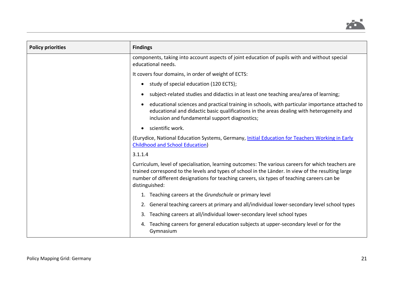

| <b>Policy priorities</b> | <b>Findings</b>                                                                                                                                                                                                                                                                                                           |
|--------------------------|---------------------------------------------------------------------------------------------------------------------------------------------------------------------------------------------------------------------------------------------------------------------------------------------------------------------------|
|                          | components, taking into account aspects of joint education of pupils with and without special<br>educational needs.                                                                                                                                                                                                       |
|                          | It covers four domains, in order of weight of ECTS:                                                                                                                                                                                                                                                                       |
|                          | study of special education (120 ECTS);<br>$\bullet$                                                                                                                                                                                                                                                                       |
|                          | subject-related studies and didactics in at least one teaching area/area of learning;<br>$\bullet$                                                                                                                                                                                                                        |
|                          | educational sciences and practical training in schools, with particular importance attached to<br>$\bullet$<br>educational and didactic basic qualifications in the areas dealing with heterogeneity and<br>inclusion and fundamental support diagnostics;                                                                |
|                          | scientific work.<br>$\bullet$                                                                                                                                                                                                                                                                                             |
|                          | (Eurydice, National Education Systems, Germany, Initial Education for Teachers Working in Early<br><b>Childhood and School Education)</b>                                                                                                                                                                                 |
|                          | 3.1.1.4                                                                                                                                                                                                                                                                                                                   |
|                          | Curriculum, level of specialisation, learning outcomes: The various careers for which teachers are<br>trained correspond to the levels and types of school in the Länder. In view of the resulting large<br>number of different designations for teaching careers, six types of teaching careers can be<br>distinguished: |
|                          | 1. Teaching careers at the Grundschule or primary level                                                                                                                                                                                                                                                                   |
|                          | 2. General teaching careers at primary and all/individual lower-secondary level school types                                                                                                                                                                                                                              |
|                          | 3. Teaching careers at all/individual lower-secondary level school types                                                                                                                                                                                                                                                  |
|                          | Teaching careers for general education subjects at upper-secondary level or for the<br>4.<br>Gymnasium                                                                                                                                                                                                                    |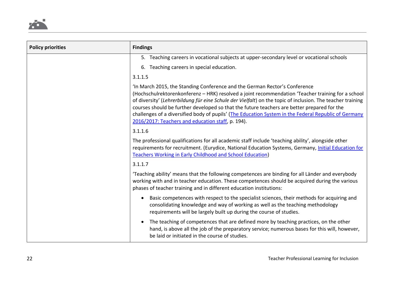

| <b>Policy priorities</b> | <b>Findings</b>                                                                                                                                                                                                                                                                                                                                                                                                                                                                                                                                           |
|--------------------------|-----------------------------------------------------------------------------------------------------------------------------------------------------------------------------------------------------------------------------------------------------------------------------------------------------------------------------------------------------------------------------------------------------------------------------------------------------------------------------------------------------------------------------------------------------------|
|                          | 5. Teaching careers in vocational subjects at upper-secondary level or vocational schools                                                                                                                                                                                                                                                                                                                                                                                                                                                                 |
|                          | 6. Teaching careers in special education.                                                                                                                                                                                                                                                                                                                                                                                                                                                                                                                 |
|                          | 3.1.1.5                                                                                                                                                                                                                                                                                                                                                                                                                                                                                                                                                   |
|                          | 'In March 2015, the Standing Conference and the German Rector's Conference<br>(Hochschulrektorenkonferenz - HRK) resolved a joint recommendation 'Teacher training for a school<br>of diversity' (Lehrerbildung für eine Schule der Vielfalt) on the topic of inclusion. The teacher training<br>courses should be further developed so that the future teachers are better prepared for the<br>challenges of a diversified body of pupils' (The Education System in the Federal Republic of Germany<br>2016/2017: Teachers and education staff, p. 194). |
|                          | 3.1.1.6                                                                                                                                                                                                                                                                                                                                                                                                                                                                                                                                                   |
|                          | The professional qualifications for all academic staff include 'teaching ability', alongside other<br>requirements for recruitment. (Eurydice, National Education Systems, Germany, Initial Education for<br><b>Teachers Working in Early Childhood and School Education)</b>                                                                                                                                                                                                                                                                             |
|                          | 3.1.1.7                                                                                                                                                                                                                                                                                                                                                                                                                                                                                                                                                   |
|                          | 'Teaching ability' means that the following competences are binding for all Länder and everybody<br>working with and in teacher education. These competences should be acquired during the various<br>phases of teacher training and in different education institutions:                                                                                                                                                                                                                                                                                 |
|                          | Basic competences with respect to the specialist sciences, their methods for acquiring and<br>$\bullet$<br>consolidating knowledge and way of working as well as the teaching methodology<br>requirements will be largely built up during the course of studies.                                                                                                                                                                                                                                                                                          |
|                          | The teaching of competences that are defined more by teaching practices, on the other<br>$\bullet$<br>hand, is above all the job of the preparatory service; numerous bases for this will, however,<br>be laid or initiated in the course of studies.                                                                                                                                                                                                                                                                                                     |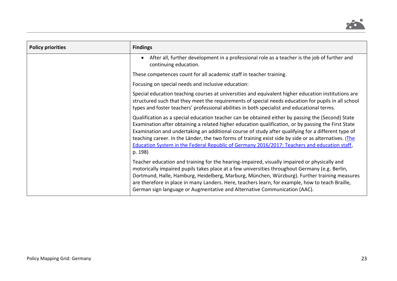

| <b>Policy priorities</b> | <b>Findings</b>                                                                                                                                                                                                                                                                                                                                                                                                                                                                                                                    |
|--------------------------|------------------------------------------------------------------------------------------------------------------------------------------------------------------------------------------------------------------------------------------------------------------------------------------------------------------------------------------------------------------------------------------------------------------------------------------------------------------------------------------------------------------------------------|
|                          | After all, further development in a professional role as a teacher is the job of further and<br>$\bullet$<br>continuing education.                                                                                                                                                                                                                                                                                                                                                                                                 |
|                          | These competences count for all academic staff in teacher training.                                                                                                                                                                                                                                                                                                                                                                                                                                                                |
|                          | Focusing on special needs and inclusive education:                                                                                                                                                                                                                                                                                                                                                                                                                                                                                 |
|                          | Special education teaching courses at universities and equivalent higher education institutions are<br>structured such that they meet the requirements of special needs education for pupils in all school<br>types and foster teachers' professional abilities in both specialist and educational terms.                                                                                                                                                                                                                          |
|                          | Qualification as a special education teacher can be obtained either by passing the (Second) State<br>Examination after obtaining a related higher education qualification, or by passing the First State<br>Examination and undertaking an additional course of study after qualifying for a different type of<br>teaching career. In the Länder, the two forms of training exist side by side or as alternatives. (The<br>Education System in the Federal Republic of Germany 2016/2017: Teachers and education staff,<br>p. 198) |
|                          | Teacher education and training for the hearing-impaired, visually impaired or physically and<br>motorically impaired pupils takes place at a few universities throughout Germany (e.g. Berlin,<br>Dortmund, Halle, Hamburg, Heidelberg, Marburg, München, Würzburg). Further training measures<br>are therefore in place in many Landers. Here, teachers learn, for example, how to teach Braille,<br>German sign language or Augmentative and Alternative Communication (AAC).                                                    |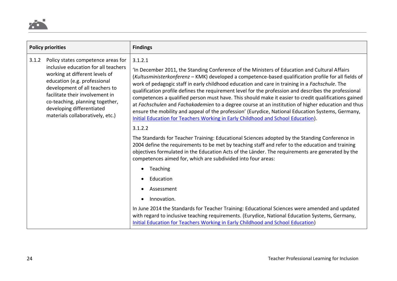

| <b>Policy priorities</b>                                                                                                                                                                                                                                                                                                       |                                                                                                                                                                                                                                                                                                                                                                                                                                                                                                                                                                                                                                                                                                                                                                                                                                    | <b>Findings</b>                                                                                                                                                                                                                                                                                                                                                        |
|--------------------------------------------------------------------------------------------------------------------------------------------------------------------------------------------------------------------------------------------------------------------------------------------------------------------------------|------------------------------------------------------------------------------------------------------------------------------------------------------------------------------------------------------------------------------------------------------------------------------------------------------------------------------------------------------------------------------------------------------------------------------------------------------------------------------------------------------------------------------------------------------------------------------------------------------------------------------------------------------------------------------------------------------------------------------------------------------------------------------------------------------------------------------------|------------------------------------------------------------------------------------------------------------------------------------------------------------------------------------------------------------------------------------------------------------------------------------------------------------------------------------------------------------------------|
| Policy states competence areas for<br>3.1.2<br>inclusive education for all teachers<br>working at different levels of<br>education (e.g. professional<br>development of all teachers to<br>facilitate their involvement in<br>co-teaching, planning together,<br>developing differentiated<br>materials collaboratively, etc.) | 3.1.2.1<br>'In December 2011, the Standing Conference of the Ministers of Education and Cultural Affairs<br>(Kultusministerkonferenz - KMK) developed a competence-based qualification profile for all fields of<br>work of pedagogic staff in early childhood education and care in training in a Fachschule. The<br>qualification profile defines the requirement level for the profession and describes the professional<br>competences a qualified person must have. This should make it easier to credit qualifications gained<br>at Fachschulen and Fachakademien to a degree course at an institution of higher education and thus<br>ensure the mobility and appeal of the profession' (Eurydice, National Education Systems, Germany,<br>Initial Education for Teachers Working in Early Childhood and School Education). |                                                                                                                                                                                                                                                                                                                                                                        |
|                                                                                                                                                                                                                                                                                                                                |                                                                                                                                                                                                                                                                                                                                                                                                                                                                                                                                                                                                                                                                                                                                                                                                                                    | 3.1.2.2                                                                                                                                                                                                                                                                                                                                                                |
|                                                                                                                                                                                                                                                                                                                                |                                                                                                                                                                                                                                                                                                                                                                                                                                                                                                                                                                                                                                                                                                                                                                                                                                    | The Standards for Teacher Training: Educational Sciences adopted by the Standing Conference in<br>2004 define the requirements to be met by teaching staff and refer to the education and training<br>objectives formulated in the Education Acts of the Länder. The requirements are generated by the<br>competences aimed for, which are subdivided into four areas: |
|                                                                                                                                                                                                                                                                                                                                |                                                                                                                                                                                                                                                                                                                                                                                                                                                                                                                                                                                                                                                                                                                                                                                                                                    | Teaching<br>$\bullet$                                                                                                                                                                                                                                                                                                                                                  |
|                                                                                                                                                                                                                                                                                                                                |                                                                                                                                                                                                                                                                                                                                                                                                                                                                                                                                                                                                                                                                                                                                                                                                                                    | Education                                                                                                                                                                                                                                                                                                                                                              |
|                                                                                                                                                                                                                                                                                                                                |                                                                                                                                                                                                                                                                                                                                                                                                                                                                                                                                                                                                                                                                                                                                                                                                                                    | Assessment                                                                                                                                                                                                                                                                                                                                                             |
|                                                                                                                                                                                                                                                                                                                                |                                                                                                                                                                                                                                                                                                                                                                                                                                                                                                                                                                                                                                                                                                                                                                                                                                    | Innovation.                                                                                                                                                                                                                                                                                                                                                            |
|                                                                                                                                                                                                                                                                                                                                |                                                                                                                                                                                                                                                                                                                                                                                                                                                                                                                                                                                                                                                                                                                                                                                                                                    | In June 2014 the Standards for Teacher Training: Educational Sciences were amended and updated<br>with regard to inclusive teaching requirements. (Eurydice, National Education Systems, Germany,<br>Initial Education for Teachers Working in Early Childhood and School Education)                                                                                   |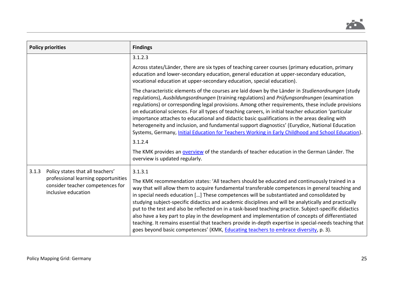

| <b>Policy priorities</b>                                                                                                                    | <b>Findings</b>                                                                                                                                                                                                                                                                                                                                                                                                                                                                                                                                                                                                                                                                                                                                                                                                                               |
|---------------------------------------------------------------------------------------------------------------------------------------------|-----------------------------------------------------------------------------------------------------------------------------------------------------------------------------------------------------------------------------------------------------------------------------------------------------------------------------------------------------------------------------------------------------------------------------------------------------------------------------------------------------------------------------------------------------------------------------------------------------------------------------------------------------------------------------------------------------------------------------------------------------------------------------------------------------------------------------------------------|
|                                                                                                                                             | 3.1.2.3                                                                                                                                                                                                                                                                                                                                                                                                                                                                                                                                                                                                                                                                                                                                                                                                                                       |
|                                                                                                                                             | Across states/Länder, there are six types of teaching career courses (primary education, primary<br>education and lower-secondary education, general education at upper-secondary education,<br>vocational education at upper-secondary education, special education).                                                                                                                                                                                                                                                                                                                                                                                                                                                                                                                                                                        |
|                                                                                                                                             | The characteristic elements of the courses are laid down by the Länder in Studienordnungen (study<br>regulations), Ausbildungsordnungen (training regulations) and Prüfungsordnungen (examination<br>regulations) or corresponding legal provisions. Among other requirements, these include provisions<br>on educational sciences. For all types of teaching careers, in initial teacher education 'particular<br>importance attaches to educational and didactic basic qualifications in the areas dealing with<br>heterogeneity and inclusion, and fundamental support diagnostics' (Eurydice, National Education<br>Systems, Germany, <i>Initial Education for Teachers Working in Early Childhood and School Education</i> ).<br>3.1.2.4<br>The KMK provides an overview of the standards of teacher education in the German Länder. The |
|                                                                                                                                             | overview is updated regularly.                                                                                                                                                                                                                                                                                                                                                                                                                                                                                                                                                                                                                                                                                                                                                                                                                |
| 3.1.3<br>Policy states that all teachers'<br>professional learning opportunities<br>consider teacher competences for<br>inclusive education | 3.1.3.1<br>The KMK recommendation states: 'All teachers should be educated and continuously trained in a<br>way that will allow them to acquire fundamental transferable competences in general teaching and<br>in special needs education [] These competences will be substantiated and consolidated by<br>studying subject-specific didactics and academic disciplines and will be analytically and practically<br>put to the test and also be reflected on in a task-based teaching practice. Subject-specific didactics<br>also have a key part to play in the development and implementation of concepts of differentiated<br>teaching. It remains essential that teachers provide in-depth expertise in special-needs teaching that<br>goes beyond basic competences' (KMK, <b>Educating teachers to embrace diversity</b> , p. 3).    |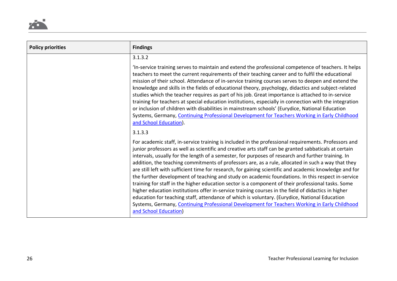

| <b>Policy priorities</b> | <b>Findings</b>                                                                                                                                                                                                                                                                                                                                                                                                                                                                                                                                                                                                                                                                                                                                                                                                                                                                                                                                                                                                                                                                   |
|--------------------------|-----------------------------------------------------------------------------------------------------------------------------------------------------------------------------------------------------------------------------------------------------------------------------------------------------------------------------------------------------------------------------------------------------------------------------------------------------------------------------------------------------------------------------------------------------------------------------------------------------------------------------------------------------------------------------------------------------------------------------------------------------------------------------------------------------------------------------------------------------------------------------------------------------------------------------------------------------------------------------------------------------------------------------------------------------------------------------------|
|                          | 3.1.3.2                                                                                                                                                                                                                                                                                                                                                                                                                                                                                                                                                                                                                                                                                                                                                                                                                                                                                                                                                                                                                                                                           |
|                          | 'In-service training serves to maintain and extend the professional competence of teachers. It helps<br>teachers to meet the current requirements of their teaching career and to fulfil the educational<br>mission of their school. Attendance of in-service training courses serves to deepen and extend the<br>knowledge and skills in the fields of educational theory, psychology, didactics and subject-related<br>studies which the teacher requires as part of his job. Great importance is attached to in-service<br>training for teachers at special education institutions, especially in connection with the integration<br>or inclusion of children with disabilities in mainstream schools' (Eurydice, National Education<br>Systems, Germany, Continuing Professional Development for Teachers Working in Early Childhood<br>and School Education).                                                                                                                                                                                                                |
|                          | 3.1.3.3                                                                                                                                                                                                                                                                                                                                                                                                                                                                                                                                                                                                                                                                                                                                                                                                                                                                                                                                                                                                                                                                           |
|                          | For academic staff, in-service training is included in the professional requirements. Professors and<br>junior professors as well as scientific and creative arts staff can be granted sabbaticals at certain<br>intervals, usually for the length of a semester, for purposes of research and further training. In<br>addition, the teaching commitments of professors are, as a rule, allocated in such a way that they<br>are still left with sufficient time for research, for gaining scientific and academic knowledge and for<br>the further development of teaching and study on academic foundations. In this respect in-service<br>training for staff in the higher education sector is a component of their professional tasks. Some<br>higher education institutions offer in-service training courses in the field of didactics in higher<br>education for teaching staff, attendance of which is voluntary. (Eurydice, National Education<br>Systems, Germany, Continuing Professional Development for Teachers Working in Early Childhood<br>and School Education) |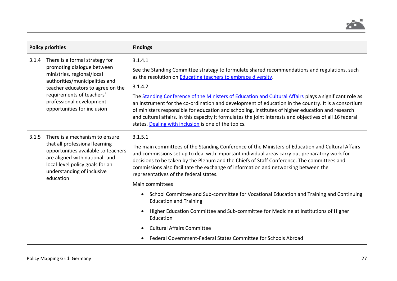

| <b>Policy priorities</b> |                                                                                                                                                                                                                                                           | <b>Findings</b>                                                                                                                                                                                                                                                                                                                                                                                                                                                                                                                                                                                                                                                                                                                                                            |
|--------------------------|-----------------------------------------------------------------------------------------------------------------------------------------------------------------------------------------------------------------------------------------------------------|----------------------------------------------------------------------------------------------------------------------------------------------------------------------------------------------------------------------------------------------------------------------------------------------------------------------------------------------------------------------------------------------------------------------------------------------------------------------------------------------------------------------------------------------------------------------------------------------------------------------------------------------------------------------------------------------------------------------------------------------------------------------------|
| 3.1.4                    | There is a formal strategy for<br>promoting dialogue between<br>ministries, regional/local<br>authorities/municipalities and<br>teacher educators to agree on the<br>requirements of teachers'<br>professional development<br>opportunities for inclusion | 3.1.4.1<br>See the Standing Committee strategy to formulate shared recommendations and regulations, such<br>as the resolution on Educating teachers to embrace diversity.<br>3.1.4.2<br>The Standing Conference of the Ministers of Education and Cultural Affairs plays a significant role as<br>an instrument for the co-ordination and development of education in the country. It is a consortium<br>of ministers responsible for education and schooling, institutes of higher education and research<br>and cultural affairs. In this capacity it formulates the joint interests and objectives of all 16 federal<br>states. Dealing with inclusion is one of the topics.                                                                                            |
| 3.1.5                    | There is a mechanism to ensure<br>that all professional learning<br>opportunities available to teachers<br>are aligned with national- and<br>local-level policy goals for an<br>understanding of inclusive<br>education                                   | 3.1.5.1<br>The main committees of the Standing Conference of the Ministers of Education and Cultural Affairs<br>and commissions set up to deal with important individual areas carry out preparatory work for<br>decisions to be taken by the Plenum and the Chiefs of Staff Conference. The committees and<br>commissions also facilitate the exchange of information and networking between the<br>representatives of the federal states.<br>Main committees<br>School Committee and Sub-committee for Vocational Education and Training and Continuing<br>$\bullet$<br><b>Education and Training</b><br>Higher Education Committee and Sub-committee for Medicine at Institutions of Higher<br>$\bullet$<br>Education<br><b>Cultural Affairs Committee</b><br>$\bullet$ |
|                          |                                                                                                                                                                                                                                                           | Federal Government-Federal States Committee for Schools Abroad                                                                                                                                                                                                                                                                                                                                                                                                                                                                                                                                                                                                                                                                                                             |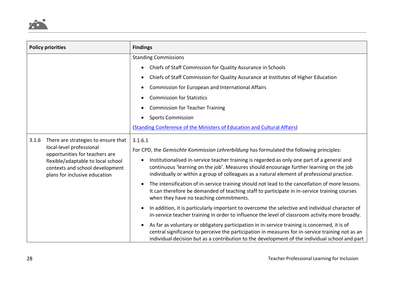

| <b>Policy priorities</b> |                                                                                                                                                                                                             | <b>Findings</b>                                                                                                                                                                                                                                                                                                                                                                                                                                                                                                                                                                                              |
|--------------------------|-------------------------------------------------------------------------------------------------------------------------------------------------------------------------------------------------------------|--------------------------------------------------------------------------------------------------------------------------------------------------------------------------------------------------------------------------------------------------------------------------------------------------------------------------------------------------------------------------------------------------------------------------------------------------------------------------------------------------------------------------------------------------------------------------------------------------------------|
|                          |                                                                                                                                                                                                             | <b>Standing Commissions</b><br>Chiefs of Staff Commission for Quality Assurance in Schools<br>$\bullet$<br>Chiefs of Staff Commission for Quality Assurance at Institutes of Higher Education<br>$\bullet$<br>Commission for European and International Affairs<br>$\bullet$<br><b>Commission for Statistics</b><br>$\bullet$<br><b>Commission for Teacher Training</b>                                                                                                                                                                                                                                      |
|                          |                                                                                                                                                                                                             | <b>Sports Commission</b><br>$\bullet$<br>(Standing Conference of the Ministers of Education and Cultural Affairs)                                                                                                                                                                                                                                                                                                                                                                                                                                                                                            |
| 3.1.6                    | There are strategies to ensure that<br>local-level professional<br>opportunities for teachers are<br>flexible/adaptable to local school<br>contexts and school development<br>plans for inclusive education | 3.1.6.1<br>For CPD, the Gemischte Kommission Lehrerbildung has formulated the following principles:<br>Institutionalised in-service teacher training is regarded as only one part of a general and<br>continuous 'learning on the job'. Measures should encourage further learning on the job<br>individually or within a group of colleagues as a natural element of professional practice.<br>The intensification of in-service training should not lead to the cancellation of more lessons.<br>$\bullet$<br>It can therefore be demanded of teaching staff to participate in in-service training courses |
|                          |                                                                                                                                                                                                             | when they have no teaching commitments.<br>In addition, it is particularly important to overcome the selective and individual character of<br>$\bullet$<br>in-service teacher training in order to influence the level of classroom activity more broadly.<br>As far as voluntary or obligatory participation in in-service training is concerned, it is of<br>$\bullet$<br>central significance to perceive the participation in measures for in-service training not as an<br>individual decision but as a contribution to the development of the individual school and part                               |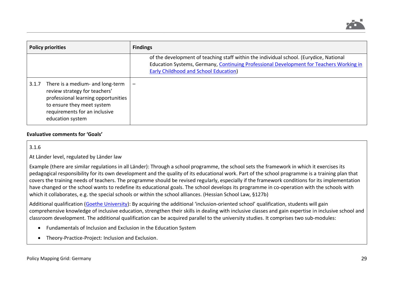

| <b>Policy priorities</b> |                                                                                                                                                                                             | <b>Findings</b>                                                                                                                                                                                                                   |
|--------------------------|---------------------------------------------------------------------------------------------------------------------------------------------------------------------------------------------|-----------------------------------------------------------------------------------------------------------------------------------------------------------------------------------------------------------------------------------|
|                          |                                                                                                                                                                                             | of the development of teaching staff within the individual school. (Eurydice, National<br>Education Systems, Germany, Continuing Professional Development for Teachers Working in<br><b>Early Childhood and School Education)</b> |
| 3.1.7                    | There is a medium- and long-term<br>review strategy for teachers'<br>professional learning opportunities<br>to ensure they meet system<br>requirements for an inclusive<br>education system |                                                                                                                                                                                                                                   |

### **Evaluative comments for 'Goals'**

3.1.6

At Länder level, regulated by Länder law

Example (there are similar regulations in all Länder): Through a school programme, the school sets the framework in which it exercises its pedagogical responsibility for its own development and the quality of its educational work. Part of the school programme is a training plan that covers the training needs of teachers. The programme should be revised regularly, especially if the framework conditions for its implementation have changed or the school wants to redefine its educational goals. The school develops its programme in co-operation with the schools with which it collaborates, e.g. the special schools or within the school alliances. (Hessian School Law, §127b)

Additional qualification [\(Goethe University\)](https://www.uni-frankfurt.de/78779640/RMU): By acquiring the additional 'inclusion-oriented school' qualification, students will gain comprehensive knowledge of inclusive education, strengthen their skills in dealing with inclusive classes and gain expertise in inclusive school and classroom development. The additional qualification can be acquired parallel to the university studies. It comprises two sub-modules:

- Fundamentals of Inclusion and Exclusion in the Education System
- Theory-Practice-Project: Inclusion and Exclusion.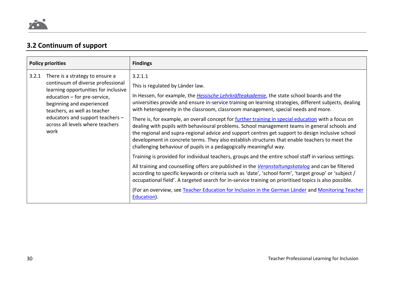# **3.2 Continuum of support**

| <b>Policy priorities</b> |                                                                                                                                                                                                                                                                                           | <b>Findings</b>                                                                                                                                                                                                                                                                                                                                                                                                                                                                                                                                                                                                                                                                                                                                                                                                                                                                                                                                                                                                                                                                                                                                                                                                                                                                                                                                                                                      |
|--------------------------|-------------------------------------------------------------------------------------------------------------------------------------------------------------------------------------------------------------------------------------------------------------------------------------------|------------------------------------------------------------------------------------------------------------------------------------------------------------------------------------------------------------------------------------------------------------------------------------------------------------------------------------------------------------------------------------------------------------------------------------------------------------------------------------------------------------------------------------------------------------------------------------------------------------------------------------------------------------------------------------------------------------------------------------------------------------------------------------------------------------------------------------------------------------------------------------------------------------------------------------------------------------------------------------------------------------------------------------------------------------------------------------------------------------------------------------------------------------------------------------------------------------------------------------------------------------------------------------------------------------------------------------------------------------------------------------------------------|
| 3.2.1                    | There is a strategy to ensure a<br>continuum of diverse professional<br>learning opportunities for inclusive<br>education - for pre-service,<br>beginning and experienced<br>teachers, as well as teacher<br>educators and support teachers -<br>across all levels where teachers<br>work | 3.2.1.1<br>This is regulated by Länder law.<br>In Hessen, for example, the <i>Hessische Lehrkräfteakademie</i> , the state school boards and the<br>universities provide and ensure in-service training on learning strategies, different subjects, dealing<br>with heterogeneity in the classroom, classroom management, special needs and more.<br>There is, for example, an overall concept for further training in special education with a focus on<br>dealing with pupils with behavioural problems. School management teams in general schools and<br>the regional and supra-regional advice and support centres get support to design inclusive school<br>development in concrete terms. They also establish structures that enable teachers to meet the<br>challenging behaviour of pupils in a pedagogically meaningful way.<br>Training is provided for individual teachers, groups and the entire school staff in various settings.<br>All training and counselling offers are published in the <i>Veranstaltungskatalog</i> and can be filtered<br>according to specific keywords or criteria such as 'date', 'school form', 'target group' or 'subject /<br>occupational field'. A targeted search for in-service training on prioritised topics is also possible.<br>(For an overview, see Teacher Education for Inclusion in the German Länder and Monitoring Teacher<br>Education). |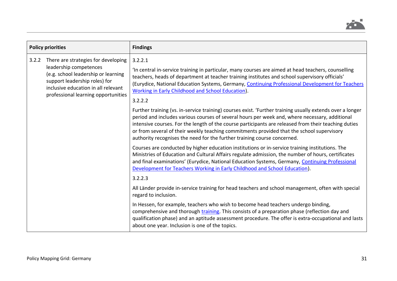

|       | <b>Policy priorities</b>                                                                                                                                                                                            | <b>Findings</b>                                                                                                                                                                                                                                                                                                                                                                                                                                                                              |
|-------|---------------------------------------------------------------------------------------------------------------------------------------------------------------------------------------------------------------------|----------------------------------------------------------------------------------------------------------------------------------------------------------------------------------------------------------------------------------------------------------------------------------------------------------------------------------------------------------------------------------------------------------------------------------------------------------------------------------------------|
| 3.2.2 | There are strategies for developing<br>leadership competences<br>(e.g. school leadership or learning<br>support leadership roles) for<br>inclusive education in all relevant<br>professional learning opportunities | 3.2.2.1<br>In central in-service training in particular, many courses are aimed at head teachers, counselling<br>teachers, heads of department at teacher training institutes and school supervisory officials'<br>(Eurydice, National Education Systems, Germany, Continuing Professional Development for Teachers<br>Working in Early Childhood and School Education).<br>3.2.2.2                                                                                                          |
|       |                                                                                                                                                                                                                     | Further training (vs. in-service training) courses exist. 'Further training usually extends over a longer<br>period and includes various courses of several hours per week and, where necessary, additional<br>intensive courses. For the length of the course participants are released from their teaching duties<br>or from several of their weekly teaching commitments provided that the school supervisory<br>authority recognises the need for the further training course concerned. |
|       |                                                                                                                                                                                                                     | Courses are conducted by higher education institutions or in-service training institutions. The<br>Ministries of Education and Cultural Affairs regulate admission, the number of hours, certificates<br>and final examinations' (Eurydice, National Education Systems, Germany, Continuing Professional<br>Development for Teachers Working in Early Childhood and School Education).<br>3.2.2.3                                                                                            |
|       |                                                                                                                                                                                                                     | All Länder provide in-service training for head teachers and school management, often with special<br>regard to inclusion.                                                                                                                                                                                                                                                                                                                                                                   |
|       |                                                                                                                                                                                                                     | In Hessen, for example, teachers who wish to become head teachers undergo binding,<br>comprehensive and thorough training. This consists of a preparation phase (reflection day and<br>qualification phase) and an aptitude assessment procedure. The offer is extra-occupational and lasts<br>about one year. Inclusion is one of the topics.                                                                                                                                               |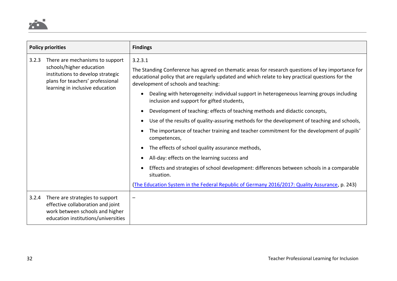

| <b>Policy priorities</b>                                                                                                                      |                                                                                                                                                                                                                                                           | <b>Findings</b>                                                                                                                         |
|-----------------------------------------------------------------------------------------------------------------------------------------------|-----------------------------------------------------------------------------------------------------------------------------------------------------------------------------------------------------------------------------------------------------------|-----------------------------------------------------------------------------------------------------------------------------------------|
| There are mechanisms to support<br>3.2.3<br>schools/higher education<br>institutions to develop strategic<br>plans for teachers' professional | 3.2.3.1<br>The Standing Conference has agreed on thematic areas for research questions of key importance for<br>educational policy that are regularly updated and which relate to key practical questions for the<br>development of schools and teaching: |                                                                                                                                         |
|                                                                                                                                               | learning in inclusive education                                                                                                                                                                                                                           | Dealing with heterogeneity: individual support in heterogeneous learning groups including<br>inclusion and support for gifted students, |
|                                                                                                                                               |                                                                                                                                                                                                                                                           | Development of teaching: effects of teaching methods and didactic concepts,                                                             |
|                                                                                                                                               | Use of the results of quality-assuring methods for the development of teaching and schools,<br>$\bullet$                                                                                                                                                  |                                                                                                                                         |
|                                                                                                                                               | The importance of teacher training and teacher commitment for the development of pupils'<br>competences,                                                                                                                                                  |                                                                                                                                         |
|                                                                                                                                               |                                                                                                                                                                                                                                                           | The effects of school quality assurance methods,<br>$\bullet$                                                                           |
|                                                                                                                                               |                                                                                                                                                                                                                                                           | All-day: effects on the learning success and<br>$\bullet$                                                                               |
|                                                                                                                                               |                                                                                                                                                                                                                                                           | Effects and strategies of school development: differences between schools in a comparable<br>situation.                                 |
|                                                                                                                                               |                                                                                                                                                                                                                                                           | (The Education System in the Federal Republic of Germany 2016/2017: Quality Assurance, p. 243)                                          |
|                                                                                                                                               | 3.2.4 There are strategies to support<br>effective collaboration and joint<br>work between schools and higher<br>education institutions/universities                                                                                                      |                                                                                                                                         |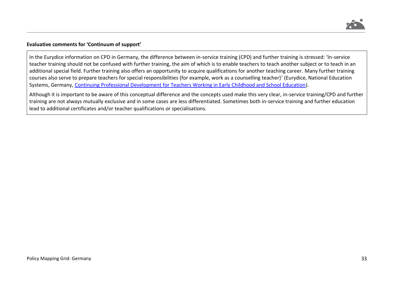

### **Evaluative comments for 'Continuum of support'**

In the Eurydice information on CPD in Germany, the difference between in-service training (CPD) and further training is stressed: 'In-service teacher training should not be confused with further training, the aim of which is to enable teachers to teach another subject or to teach in an additional special field. Further training also offers an opportunity to acquire qualifications for another teaching career. Many further training courses also serve to prepare teachers for special responsibilities (for example, work as a counselling teacher)' (Eurydice, National Education Systems, Germany, [Continuing Professional Development for Teachers Working in Early Childhood and School Education\)](https://eacea.ec.europa.eu/national-policies/eurydice/content/continuing-professional-development-teachers-working-early-childhood-and-school-education-28_en).

Although it is important to be aware of this conceptual difference and the concepts used make this very clear, in-service training/CPD and further training are not always mutually exclusive and in some cases are less differentiated. Sometimes both in-service training and further education lead to additional certificates and/or teacher qualifications or specialisations.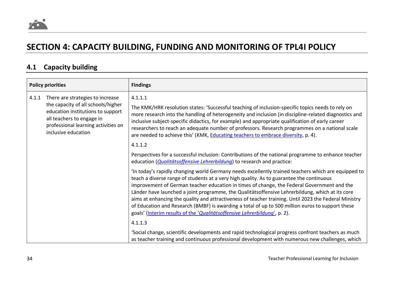

# **SECTION 4: CAPACITY BUILDING, FUNDING AND MONITORING OF TPL4I POLICY**

# **4.1 Capacity building**

| <b>Policy priorities</b>                                                                                                                                                                               | <b>Findings</b>                                                                                                                                                                                                                                                                                                                                                                                                                                                                                                                                                                                                                                                                                       |
|--------------------------------------------------------------------------------------------------------------------------------------------------------------------------------------------------------|-------------------------------------------------------------------------------------------------------------------------------------------------------------------------------------------------------------------------------------------------------------------------------------------------------------------------------------------------------------------------------------------------------------------------------------------------------------------------------------------------------------------------------------------------------------------------------------------------------------------------------------------------------------------------------------------------------|
| There are strategies to increase<br>the capacity of all schools/higher<br>education institutions to support<br>all teachers to engage in<br>professional learning activities on<br>inclusive education | 4.1.1.1<br>The KMK/HRK resolution states: 'Successful teaching of inclusion-specific topics needs to rely on<br>more research into the handling of heterogeneity and inclusion (in discipline-related diagnostics and<br>inclusive subject-specific didactics, for example) and appropriate qualification of early career<br>researchers to reach an adequate number of professors. Research programmes on a national scale<br>are needed to achieve this' (KMK, Educating teachers to embrace diversity, p. 4).                                                                                                                                                                                      |
|                                                                                                                                                                                                        | 4.1.1.2                                                                                                                                                                                                                                                                                                                                                                                                                                                                                                                                                                                                                                                                                               |
|                                                                                                                                                                                                        | Perspectives for a successful inclusion: Contributions of the national programme to enhance teacher<br>education (Qualitätsoffensive Lehrerbildung) to research and practice:                                                                                                                                                                                                                                                                                                                                                                                                                                                                                                                         |
|                                                                                                                                                                                                        | 'In today's rapidly changing world Germany needs excellently trained teachers which are equipped to<br>teach a diverse range of students at a very high quality. As to guarantee the continuous<br>improvement of German teacher education in times of change, the Federal Government and the<br>Länder have launched a joint programme, the Qualitätsoffensive Lehrerbildung, which at its core<br>aims at enhancing the quality and attractiveness of teacher training. Until 2023 the Federal Ministry<br>of Education and Research (BMBF) is awarding a total of up to 500 million euros to support these<br>goals' (Interim results of the 'Qualitätsoffensive Lehrerbildung', p. 2).<br>4.1.1.3 |
|                                                                                                                                                                                                        | 'Social change, scientific developments and rapid technological progress confront teachers as much<br>as teacher training and continuous professional development with numerous new challenges, which                                                                                                                                                                                                                                                                                                                                                                                                                                                                                                 |
|                                                                                                                                                                                                        |                                                                                                                                                                                                                                                                                                                                                                                                                                                                                                                                                                                                                                                                                                       |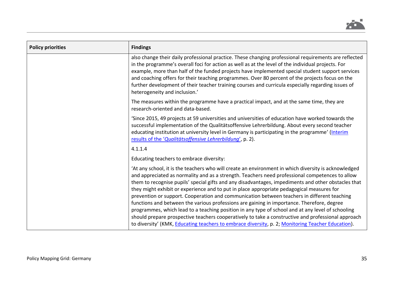

| <b>Policy priorities</b> | <b>Findings</b>                                                                                                                                                                                                                                                                                                                                                                                                                                                                                                                                                                                                                                                                                                                                                                                                                                                                                                          |
|--------------------------|--------------------------------------------------------------------------------------------------------------------------------------------------------------------------------------------------------------------------------------------------------------------------------------------------------------------------------------------------------------------------------------------------------------------------------------------------------------------------------------------------------------------------------------------------------------------------------------------------------------------------------------------------------------------------------------------------------------------------------------------------------------------------------------------------------------------------------------------------------------------------------------------------------------------------|
|                          | also change their daily professional practice. These changing professional requirements are reflected<br>in the programme's overall foci for action as well as at the level of the individual projects. For<br>example, more than half of the funded projects have implemented special student support services<br>and coaching offers for their teaching programmes. Over 80 percent of the projects focus on the<br>further development of their teacher training courses and curricula especially regarding issues of<br>heterogeneity and inclusion.'                                                                                                                                                                                                                                                                                                                                                                |
|                          | The measures within the programme have a practical impact, and at the same time, they are<br>research-oriented and data-based.                                                                                                                                                                                                                                                                                                                                                                                                                                                                                                                                                                                                                                                                                                                                                                                           |
|                          | Since 2015, 49 projects at 59 universities and universities of education have worked towards the<br>successful implementation of the Qualitätsoffensive Lehrerbildung. About every second teacher<br>educating institution at university level in Germany is participating in the programme' (Interim<br>results of the 'Qualitätsoffensive Lehrerbildung', p. 2).                                                                                                                                                                                                                                                                                                                                                                                                                                                                                                                                                       |
|                          | 4.1.1.4                                                                                                                                                                                                                                                                                                                                                                                                                                                                                                                                                                                                                                                                                                                                                                                                                                                                                                                  |
|                          | Educating teachers to embrace diversity:                                                                                                                                                                                                                                                                                                                                                                                                                                                                                                                                                                                                                                                                                                                                                                                                                                                                                 |
|                          | 'At any school, it is the teachers who will create an environment in which diversity is acknowledged<br>and appreciated as normality and as a strength. Teachers need professional competences to allow<br>them to recognise pupils' special gifts and any disadvantages, impediments and other obstacles that<br>they might exhibit or experience and to put in place appropriate pedagogical measures for<br>prevention or support. Cooperation and communication between teachers in different teaching<br>functions and between the various professions are gaining in importance. Therefore, degree<br>programmes, which lead to a teaching position in any type of school and at any level of schooling<br>should prepare prospective teachers cooperatively to take a constructive and professional approach<br>to diversity' (KMK, Educating teachers to embrace diversity, p. 2; Monitoring Teacher Education). |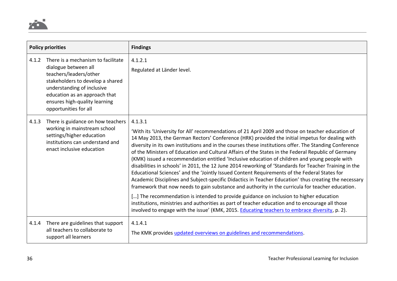

| <b>Policy priorities</b> |                                                                                                                                                                                                                                                   | <b>Findings</b>                                                                                                                                                                                                                                                                                                                                                                                                                                                                                                                                                                                                                                                                                                                                                                                                                                                                                                                                                                                                                                                                                                                                                                                                                                                  |
|--------------------------|---------------------------------------------------------------------------------------------------------------------------------------------------------------------------------------------------------------------------------------------------|------------------------------------------------------------------------------------------------------------------------------------------------------------------------------------------------------------------------------------------------------------------------------------------------------------------------------------------------------------------------------------------------------------------------------------------------------------------------------------------------------------------------------------------------------------------------------------------------------------------------------------------------------------------------------------------------------------------------------------------------------------------------------------------------------------------------------------------------------------------------------------------------------------------------------------------------------------------------------------------------------------------------------------------------------------------------------------------------------------------------------------------------------------------------------------------------------------------------------------------------------------------|
| 4.1.2                    | There is a mechanism to facilitate<br>dialogue between all<br>teachers/leaders/other<br>stakeholders to develop a shared<br>understanding of inclusive<br>education as an approach that<br>ensures high-quality learning<br>opportunities for all | 4.1.2.1<br>Regulated at Länder level.                                                                                                                                                                                                                                                                                                                                                                                                                                                                                                                                                                                                                                                                                                                                                                                                                                                                                                                                                                                                                                                                                                                                                                                                                            |
| 4.1.3                    | There is guidance on how teachers<br>working in mainstream school<br>settings/higher education<br>institutions can understand and<br>enact inclusive education                                                                                    | 4.1.3.1<br>'With its 'University for All' recommendations of 21 April 2009 and those on teacher education of<br>14 May 2013, the German Rectors' Conference (HRK) provided the initial impetus for dealing with<br>diversity in its own institutions and in the courses these institutions offer. The Standing Conference<br>of the Ministers of Education and Cultural Affairs of the States in the Federal Republic of Germany<br>(KMK) issued a recommendation entitled 'Inclusive education of children and young people with<br>disabilities in schools' in 2011, the 12 June 2014 reworking of 'Standards for Teacher Training in the<br>Educational Sciences' and the 'Jointly Issued Content Requirements of the Federal States for<br>Academic Disciplines and Subject-specific Didactics in Teacher Education' thus creating the necessary<br>framework that now needs to gain substance and authority in the curricula for teacher education.<br>[] The recommendation is intended to provide guidance on inclusion to higher education<br>institutions, ministries and authorities as part of teacher education and to encourage all those<br>involved to engage with the issue' (KMK, 2015. <b>Educating teachers to embrace diversity</b> , p. 2). |
| 4.1.4                    | There are guidelines that support<br>all teachers to collaborate to<br>support all learners                                                                                                                                                       | 4.1.4.1<br>The KMK provides updated overviews on guidelines and recommendations.                                                                                                                                                                                                                                                                                                                                                                                                                                                                                                                                                                                                                                                                                                                                                                                                                                                                                                                                                                                                                                                                                                                                                                                 |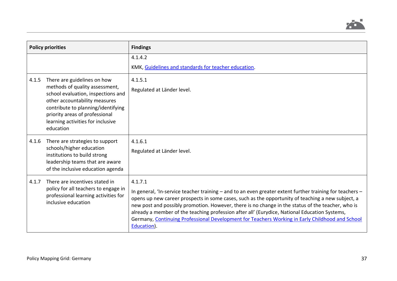

| <b>Policy priorities</b> |                                                                                                                                                                                                                                                                | <b>Findings</b>                                                                                                                                                                                                                                                                                                                                                                                                                                                                                                                                  |
|--------------------------|----------------------------------------------------------------------------------------------------------------------------------------------------------------------------------------------------------------------------------------------------------------|--------------------------------------------------------------------------------------------------------------------------------------------------------------------------------------------------------------------------------------------------------------------------------------------------------------------------------------------------------------------------------------------------------------------------------------------------------------------------------------------------------------------------------------------------|
|                          |                                                                                                                                                                                                                                                                | 4.1.4.2<br>KMK, Guidelines and standards for teacher education.                                                                                                                                                                                                                                                                                                                                                                                                                                                                                  |
| 4.1.5                    | There are guidelines on how<br>methods of quality assessment,<br>school evaluation, inspections and<br>other accountability measures<br>contribute to planning/identifying<br>priority areas of professional<br>learning activities for inclusive<br>education | 4.1.5.1<br>Regulated at Länder level.                                                                                                                                                                                                                                                                                                                                                                                                                                                                                                            |
| 4.1.6                    | There are strategies to support<br>schools/higher education<br>institutions to build strong<br>leadership teams that are aware<br>of the inclusive education agenda                                                                                            | 4.1.6.1<br>Regulated at Länder level.                                                                                                                                                                                                                                                                                                                                                                                                                                                                                                            |
| 4.1.7                    | There are incentives stated in<br>policy for all teachers to engage in<br>professional learning activities for<br>inclusive education                                                                                                                          | 4.1.7.1<br>In general, 'In-service teacher training - and to an even greater extent further training for teachers -<br>opens up new career prospects in some cases, such as the opportunity of teaching a new subject, a<br>new post and possibly promotion. However, there is no change in the status of the teacher, who is<br>already a member of the teaching profession after all' (Eurydice, National Education Systems,<br>Germany, Continuing Professional Development for Teachers Working in Early Childhood and School<br>Education). |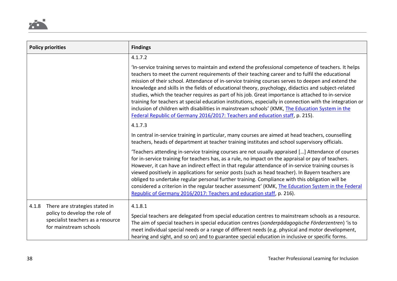

|       | <b>Policy priorities</b>                                                                                                       | <b>Findings</b>                                                                                                                                                                                                                                                                                                                                                                                                                                                                                                                                                                                                                                                                                                                                                                                                               |
|-------|--------------------------------------------------------------------------------------------------------------------------------|-------------------------------------------------------------------------------------------------------------------------------------------------------------------------------------------------------------------------------------------------------------------------------------------------------------------------------------------------------------------------------------------------------------------------------------------------------------------------------------------------------------------------------------------------------------------------------------------------------------------------------------------------------------------------------------------------------------------------------------------------------------------------------------------------------------------------------|
|       |                                                                                                                                | 4.1.7.2                                                                                                                                                                                                                                                                                                                                                                                                                                                                                                                                                                                                                                                                                                                                                                                                                       |
|       |                                                                                                                                | 'In-service training serves to maintain and extend the professional competence of teachers. It helps<br>teachers to meet the current requirements of their teaching career and to fulfil the educational<br>mission of their school. Attendance of in-service training courses serves to deepen and extend the<br>knowledge and skills in the fields of educational theory, psychology, didactics and subject-related<br>studies, which the teacher requires as part of his job. Great importance is attached to in-service<br>training for teachers at special education institutions, especially in connection with the integration or<br>inclusion of children with disabilities in mainstream schools' (KMK, The Education System in the<br>Federal Republic of Germany 2016/2017: Teachers and education staff, p. 215). |
|       |                                                                                                                                | 4.1.7.3                                                                                                                                                                                                                                                                                                                                                                                                                                                                                                                                                                                                                                                                                                                                                                                                                       |
|       |                                                                                                                                | In central in-service training in particular, many courses are aimed at head teachers, counselling<br>teachers, heads of department at teacher training institutes and school supervisory officials.                                                                                                                                                                                                                                                                                                                                                                                                                                                                                                                                                                                                                          |
|       |                                                                                                                                | Teachers attending in-service training courses are not usually appraised [] Attendance of courses<br>for in-service training for teachers has, as a rule, no impact on the appraisal or pay of teachers.<br>However, it can have an indirect effect in that regular attendance of in-service training courses is<br>viewed positively in applications for senior posts (such as head teacher). In Bayern teachers are<br>obliged to undertake regular personal further training. Compliance with this obligation will be<br>considered a criterion in the regular teacher assessment' (KMK, The Education System in the Federal<br>Republic of Germany 2016/2017: Teachers and education staff, p. 216).                                                                                                                      |
| 4.1.8 | There are strategies stated in<br>policy to develop the role of<br>specialist teachers as a resource<br>for mainstream schools | 4.1.8.1<br>Special teachers are delegated from special education centres to mainstream schools as a resource.<br>The aim of special teachers in special education centres (sonderpädagogische Förderzentren) 'is to<br>meet individual special needs or a range of different needs (e.g. physical and motor development,<br>hearing and sight, and so on) and to guarantee special education in inclusive or specific forms.                                                                                                                                                                                                                                                                                                                                                                                                  |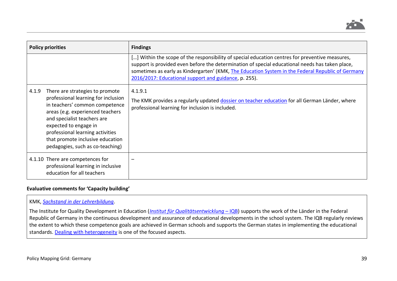

| <b>Policy priorities</b> |                                                                                                                                                                                                                                                                                                                  | <b>Findings</b>                                                                                                                                                                                                                                                                                                                                                  |
|--------------------------|------------------------------------------------------------------------------------------------------------------------------------------------------------------------------------------------------------------------------------------------------------------------------------------------------------------|------------------------------------------------------------------------------------------------------------------------------------------------------------------------------------------------------------------------------------------------------------------------------------------------------------------------------------------------------------------|
|                          |                                                                                                                                                                                                                                                                                                                  | [] Within the scope of the responsibility of special education centres for preventive measures,<br>support is provided even before the determination of special educational needs has taken place,<br>sometimes as early as Kindergarten' (KMK, The Education System in the Federal Republic of Germany<br>2016/2017: Educational support and guidance, p. 255). |
| 4.1.9                    | There are strategies to promote<br>professional learning for inclusion<br>in teachers' common competence<br>areas (e.g. experienced teachers<br>and specialist teachers are<br>expected to engage in<br>professional learning activities<br>that promote inclusive education<br>pedagogies, such as co-teaching) | 4.1.9.1<br>The KMK provides a regularly updated dossier on teacher education for all German Länder, where<br>professional learning for inclusion is included.                                                                                                                                                                                                    |
|                          | 4.1.10 There are competences for<br>professional learning in inclusive<br>education for all teachers                                                                                                                                                                                                             |                                                                                                                                                                                                                                                                                                                                                                  |

### **Evaluative comments for 'Capacity building'**

### KMK, *[Sachstand in der Lehrerbildung](https://www.kmk.org/fileadmin/Dateien/pdf/Bildung/AllgBildung/2019-11-05-Sachstand_LB-veroeff.pdf)*.

The Institute for Quality Development in Education (*[Institut für Qualitätsentwicklung](https://www.iqb.hu-berlin.de/)* – IQB) supports the work of the Länder in the Federal Republic of Germany in the continuous development and assurance of educational developments in the school system. The IQB regularly reviews the extent to which these competence goals are achieved in German schools and supports the German states in implementing the educational standards. [Dealing with heterogeneity](https://www.iqb.hu-berlin.de/research/research2) is one of the focused aspects.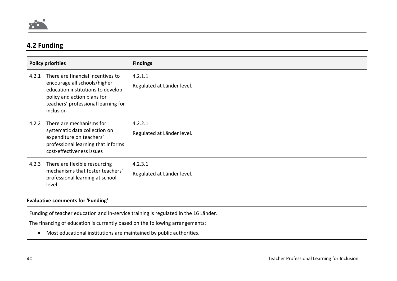

# **4.2 Funding**

| <b>Policy priorities</b> |                                                                                                                                                                                           | <b>Findings</b>                       |
|--------------------------|-------------------------------------------------------------------------------------------------------------------------------------------------------------------------------------------|---------------------------------------|
| 4.2.1                    | There are financial incentives to<br>encourage all schools/higher<br>education institutions to develop<br>policy and action plans for<br>teachers' professional learning for<br>inclusion | 4.2.1.1<br>Regulated at Länder level. |
| 4.2.2                    | There are mechanisms for<br>systematic data collection on<br>expenditure on teachers'<br>professional learning that informs<br>cost-effectiveness issues                                  | 4.2.2.1<br>Regulated at Länder level. |
| 4.2.3                    | There are flexible resourcing<br>mechanisms that foster teachers'<br>professional learning at school<br>level                                                                             | 4.2.3.1<br>Regulated at Länder level. |

## **Evaluative comments for 'Funding'**

Funding of teacher education and in-service training is regulated in the 16 Länder.

The financing of education is currently based on the following arrangements:

• Most educational institutions are maintained by public authorities.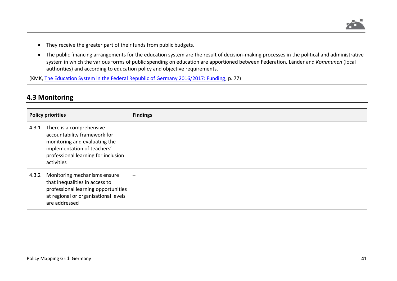

- They receive the greater part of their funds from public budgets.
- The public financing arrangements for the education system are the result of decision-making processes in the political and administrative system in which the various forms of public spending on education are apportioned between Federation, Länder and *Kommunen* (local authorities) and according to education policy and objective requirements.

(KMK, [The Education System in the Federal Republic of Germany 2016/2017: Funding,](https://www.kmk.org/fileadmin/Dateien/pdf/Eurydice/Bildungswesen-engl-pdfs/funding.pdf) p. 77)

# **4.3 Monitoring**

| <b>Policy priorities</b> |                                                                                                                                                                               | <b>Findings</b> |
|--------------------------|-------------------------------------------------------------------------------------------------------------------------------------------------------------------------------|-----------------|
| 4.3.1                    | There is a comprehensive<br>accountability framework for<br>monitoring and evaluating the<br>implementation of teachers'<br>professional learning for inclusion<br>activities | -               |
| 4.3.2                    | Monitoring mechanisms ensure<br>that inequalities in access to<br>professional learning opportunities<br>at regional or organisational levels<br>are addressed                | $\qquad \qquad$ |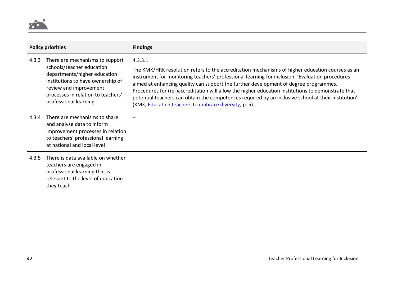

| <b>Policy priorities</b> |                                                                                                                                                                                                                            | <b>Findings</b>                                                                                                                                                                                                                                                                                                                                                                                                                                                                                                                                                             |
|--------------------------|----------------------------------------------------------------------------------------------------------------------------------------------------------------------------------------------------------------------------|-----------------------------------------------------------------------------------------------------------------------------------------------------------------------------------------------------------------------------------------------------------------------------------------------------------------------------------------------------------------------------------------------------------------------------------------------------------------------------------------------------------------------------------------------------------------------------|
| 4.3.3                    | There are mechanisms to support<br>schools/teacher education<br>departments/higher education<br>institutions to have ownership of<br>review and improvement<br>processes in relation to teachers'<br>professional learning | 4.3.3.1<br>The KMK/HRK resolution refers to the accreditation mechanisms of higher education courses as an<br>instrument for monitoring teachers' professional learning for inclusion: 'Evaluation procedures<br>aimed at enhancing quality can support the further development of degree programmes.<br>Procedures for (re-)accreditation will allow the higher education institutions to demonstrate that<br>potential teachers can obtain the competences required by an inclusive school at their institution'<br>(KMK, Educating teachers to embrace diversity, p. 5). |
| 4.3.4                    | There are mechanisms to share<br>and analyse data to inform<br>improvement processes in relation<br>to teachers' professional learning<br>at national and local level                                                      |                                                                                                                                                                                                                                                                                                                                                                                                                                                                                                                                                                             |
| 4.3.5                    | There is data available on whether<br>teachers are engaged in<br>professional learning that is<br>relevant to the level of education<br>they teach                                                                         |                                                                                                                                                                                                                                                                                                                                                                                                                                                                                                                                                                             |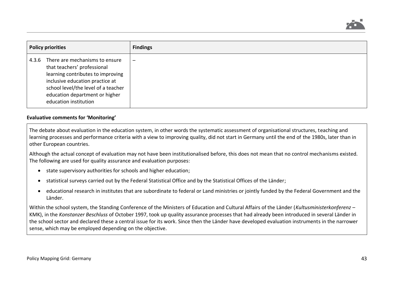

| <b>Policy priorities</b> |                                                                                                                                                                                                                                         | <b>Findings</b> |
|--------------------------|-----------------------------------------------------------------------------------------------------------------------------------------------------------------------------------------------------------------------------------------|-----------------|
| 4.3.6                    | There are mechanisms to ensure<br>that teachers' professional<br>learning contributes to improving<br>inclusive education practice at<br>school level/the level of a teacher<br>education department or higher<br>education institution |                 |

#### **Evaluative comments for 'Monitoring'**

The debate about evaluation in the education system, in other words the systematic assessment of organisational structures, teaching and learning processes and performance criteria with a view to improving quality, did not start in Germany until the end of the 1980s, later than in other European countries.

Although the actual concept of evaluation may not have been institutionalised before, this does not mean that no control mechanisms existed. The following are used for quality assurance and evaluation purposes:

- state supervisory authorities for schools and higher education;
- statistical surveys carried out by the Federal Statistical Office and by the Statistical Offices of the Länder;
- educational research in institutes that are subordinate to federal or Land ministries or jointly funded by the Federal Government and the Länder.

Within the school system, the Standing Conference of the Ministers of Education and Cultural Affairs of the Länder (*Kultusministerkonferenz* – KMK), in the *Konstanzer Beschluss* of October 1997, took up quality assurance processes that had already been introduced in several Länder in the school sector and declared these a central issue for its work. Since then the Länder have developed evaluation instruments in the narrower sense, which may be employed depending on the objective.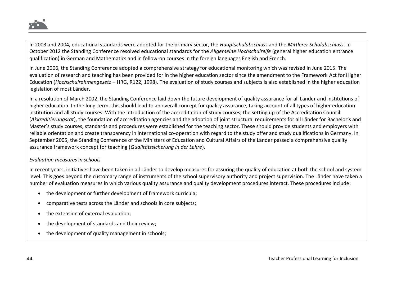

In 2003 and 2004, educational standards were adopted for the primary sector, the *Hauptschulabschluss* and the *Mittlerer Schulabschluss*. In October 2012 the Standing Conference resolved educational standards for the *Allgemeine Hochschulreife* (general higher education entrance qualification) in German and Mathematics and in follow-on courses in the foreign languages English and French.

In June 2006, the Standing Conference adopted a comprehensive strategy for educational monitoring which was revised in June 2015. The evaluation of research and teaching has been provided for in the higher education sector since the amendment to the Framework Act for Higher Education (*Hochschulrahmengesetz* – HRG, R122, 1998). The evaluation of study courses and subjects is also established in the higher education legislation of most Länder.

In a resolution of March 2002, the Standing Conference laid down the future development of quality assurance for all Länder and institutions of higher education. In the long-term, this should lead to an overall concept for quality assurance, taking account of all types of higher education institution and all study courses. With the introduction of the accreditation of study courses, the setting up of the Accreditation Council (*Akkreditierungsrat*), the foundation of accreditation agencies and the adoption of joint structural requirements for all Länder for Bachelor's and Master's study courses, standards and procedures were established for the teaching sector. These should provide students and employers with reliable orientation and create transparency in international co-operation with regard to the study offer and study qualifications in Germany. In September 2005, the Standing Conference of the Ministers of Education and Cultural Affairs of the Länder passed a comprehensive quality assurance framework concept for teaching (*Qualitätssicherung in der Lehre*).

#### *Evaluation measures in schools*

In recent years, initiatives have been taken in all Länder to develop measures for assuring the quality of education at both the school and system level. This goes beyond the customary range of instruments of the school supervisory authority and project supervision. The Länder have taken a number of evaluation measures in which various quality assurance and quality development procedures interact. These procedures include:

- the development or further development of framework curricula;
- comparative tests across the Länder and schools in core subjects;
- the extension of external evaluation;
- the development of standards and their review;
- the development of quality management in schools;